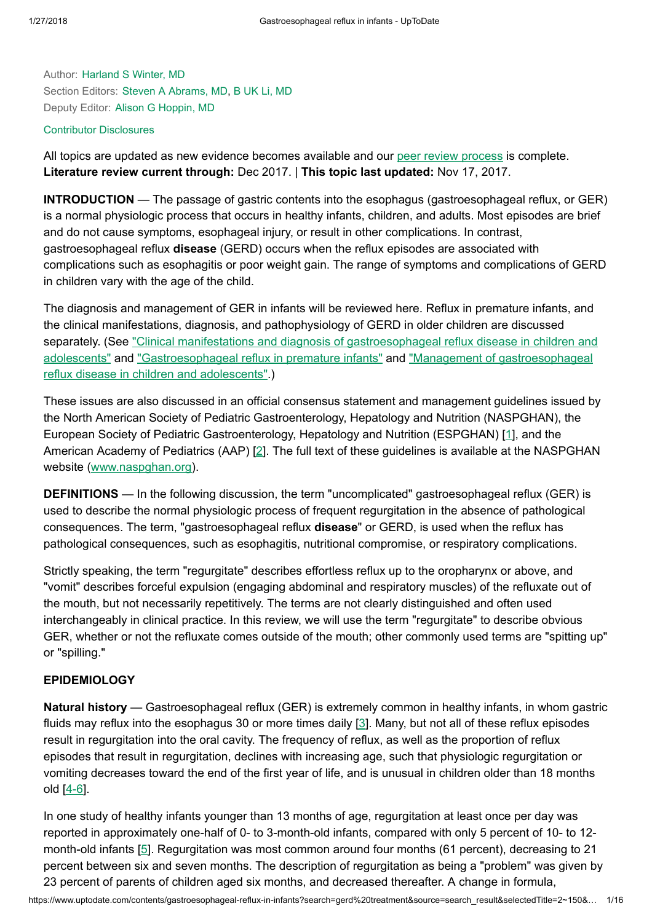Author: [Harland](https://www.uptodate.com/contents/gastroesophageal-reflux-in-infants/contributors) S Winter, MD Section Editors: Steven A [Abrams,](https://www.uptodate.com/contents/gastroesophageal-reflux-in-infants/contributors) MD, B UK Li, [MD](https://www.uptodate.com/contents/gastroesophageal-reflux-in-infants/contributors) Deputy Editor: Alison G [Hoppin,](https://www.uptodate.com/contents/gastroesophageal-reflux-in-infants/contributors) MD

### Contributor [Disclosures](https://www.uptodate.com/contents/gastroesophageal-reflux-in-infants/contributor-disclosure)

All topics are updated as new evidence becomes available and our peer review [process](https://www.uptodate.com/home/editorial-policy) is complete. Literature review current through: Dec 2017. | This topic last updated: Nov 17, 2017.

INTRODUCTION — The passage of gastric contents into the esophagus (gastroesophageal reflux, or GER) is a normal physiologic process that occurs in healthy infants, children, and adults. Most episodes are brief and do not cause symptoms, esophageal injury, or result in other complications. In contrast, gastroesophageal reflux disease (GERD) occurs when the reflux episodes are associated with complications such as esophagitis or poor weight gain. The range of symptoms and complications of GERD in children vary with the age of the child.

The diagnosis and management of GER in infants will be reviewed here. Reflux in premature infants, and the clinical manifestations, diagnosis, and pathophysiology of GERD in older children are discussed separately. (See "Clinical manifestations and diagnosis of gastroesophageal reflux disease in children and adolescents" and ["Gastroesophageal reflux](https://www.uptodate.com/contents/clinical-manifestations-and-diagnosis-of-gastroesophageal-reflux-disease-in-children-and-adolescents?source=see_link) in premature infants" and "Management of gastroesophageal reflux disease in children and adolescents".)

These issues are also discussed in an official consensus statement and management guidelines issued by the North American Society of Pediatric Gastroenterology, Hepatology and Nutrition (NASPGHAN), the European Society of Pediatric Gastroenterology, Hepatology and Nutrition (ESPGHAN) [\[1](https://www.uptodate.com/contents/gastroesophageal-reflux-in-infants/abstract/1)], and the American Academy of Pediatrics (AAP) [[2\]](https://www.uptodate.com/contents/gastroesophageal-reflux-in-infants/abstract/2). The full text of these guidelines is available at the NASPGHAN website [\(www.naspghan.org\)](https://www.uptodate.com/external-redirect.do?target_url=http%3A%2F%2Fwww.naspghan.org%2F&TOPIC_ID=5876).

DEFINITIONS — In the following discussion, the term "uncomplicated" gastroesophageal reflux (GER) is used to describe the normal physiologic process of frequent regurgitation in the absence of pathological consequences. The term, "gastroesophageal reflux disease" or GERD, is used when the reflux has pathological consequences, such as esophagitis, nutritional compromise, or respiratory complications.

Strictly speaking, the term "regurgitate" describes effortless reflux up to the oropharynx or above, and "vomit" describes forceful expulsion (engaging abdominal and respiratory muscles) of the refluxate out of the mouth, but not necessarily repetitively. The terms are not clearly distinguished and often used interchangeably in clinical practice. In this review, we will use the term "regurgitate" to describe obvious GER, whether or not the refluxate comes outside of the mouth; other commonly used terms are "spitting up" or "spilling."

## **EPIDEMIOLOGY**

Natural history — Gastroesophageal reflux (GER) is extremely common in healthy infants, in whom gastric fluids may reflux into the esophagus 30 or more times daily [[3\]](https://www.uptodate.com/contents/gastroesophageal-reflux-in-infants/abstract/3). Many, but not all of these reflux episodes result in regurgitation into the oral cavity. The frequency of reflux, as well as the proportion of reflux episodes that result in regurgitation, declines with increasing age, such that physiologic regurgitation or vomiting decreases toward the end of the first year of life, and is unusual in children older than 18 months old [[4-6\]](https://www.uptodate.com/contents/gastroesophageal-reflux-in-infants/abstract/4-6).

In one study of healthy infants younger than 13 months of age, regurgitation at least once per day was reported in approximately one-half of 0- to 3-month-old infants, compared with only 5 percent of 10- to 12 month-old infants [[5\]](https://www.uptodate.com/contents/gastroesophageal-reflux-in-infants/abstract/5). Regurgitation was most common around four months (61 percent), decreasing to 21 percent between six and seven months. The description of regurgitation as being a "problem" was given by 23 percent of parents of children aged six months, and decreased thereafter. A change in formula,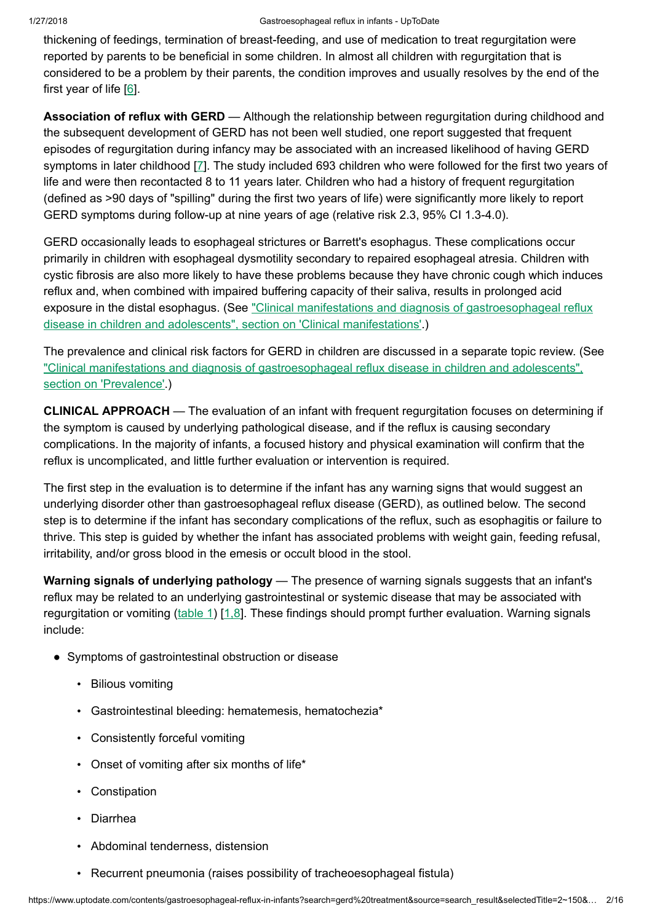thickening of feedings, termination of breast-feeding, and use of medication to treat regurgitation were reported by parents to be beneficial in some children. In almost all children with regurgitation that is considered to be a problem by their parents, the condition improves and usually resolves by the end of the first year of life [\[6](https://www.uptodate.com/contents/gastroesophageal-reflux-in-infants/abstract/6)].

Association of reflux with GERD — Although the relationship between requrgitation during childhood and the subsequent development of GERD has not been well studied, one report suggested that frequent episodes of regurgitation during infancy may be associated with an increased likelihood of having GERD symptoms in later childhood [[7\]](https://www.uptodate.com/contents/gastroesophageal-reflux-in-infants/abstract/7). The study included 693 children who were followed for the first two years of life and were then recontacted 8 to 11 years later. Children who had a history of frequent regurgitation (defined as >90 days of "spilling" during the first two years of life) were significantly more likely to report GERD symptoms during follow-up at nine years of age (relative risk 2.3, 95% CI 1.3-4.0).

GERD occasionally leads to esophageal strictures or Barrett's esophagus. These complications occur primarily in children with esophageal dysmotility secondary to repaired esophageal atresia. Children with cystic fibrosis are also more likely to have these problems because they have chronic cough which induces reflux and, when combined with impaired buffering capacity of their saliva, results in prolonged acid exposure in the distal esophagus. (See "Clinical manifestations and diagnosis of gastroesophageal reflux disease in children and adolescents", section on ['Clinical manifestations'.\)](https://www.uptodate.com/contents/clinical-manifestations-and-diagnosis-of-gastroesophageal-reflux-disease-in-children-and-adolescents?sectionName=CLINICAL+MANIFESTATIONS&anchor=H6&source=see_link#H6)

The prevalence and clinical risk factors for GERD in children are discussed in a separate topic review. (See "Clinical manifestations and diagnosis of [gastroesophageal reflux](https://www.uptodate.com/contents/clinical-manifestations-and-diagnosis-of-gastroesophageal-reflux-disease-in-children-and-adolescents?sectionName=Prevalence&anchor=H4&source=see_link#H4) disease in children and adolescents", section on 'Prevalence'.)

CLINICAL APPROACH — The evaluation of an infant with frequent regurgitation focuses on determining if the symptom is caused by underlying pathological disease, and if the reflux is causing secondary complications. In the majority of infants, a focused history and physical examination will confirm that the reflux is uncomplicated, and little further evaluation or intervention is required.

The first step in the evaluation is to determine if the infant has any warning signs that would suggest an underlying disorder other than gastroesophageal reflux disease (GERD), as outlined below. The second step is to determine if the infant has secondary complications of the reflux, such as esophagitis or failure to thrive. This step is guided by whether the infant has associated problems with weight gain, feeding refusal, irritability, and/or gross blood in the emesis or occult blood in the stool.

Warning signals of underlying pathology — The presence of warning signals suggests that an infant's reflux may be related to an underlying gastrointestinal or systemic disease that may be associated with regurgitation or vomiting ([table](https://www.uptodate.com/contents/image?imageKey=PEDS%2F61133&topicKey=PEDS%2F5876&search=gerd+treatment&rank=2%7E150&source=see_link) 1) [[1,8\]](https://www.uptodate.com/contents/gastroesophageal-reflux-in-infants/abstract/1,8). These findings should prompt further evaluation. Warning signals include:

- Symptoms of gastrointestinal obstruction or disease
	- Bilious vomiting
	- Gastrointestinal bleeding: hematemesis, hematochezia\*
	- Consistently forceful vomiting
	- Onset of vomiting after six months of life\*
	- Constipation
	- Diarrhea
	- Abdominal tenderness, distension
	- Recurrent pneumonia (raises possibility of tracheoesophageal fistula)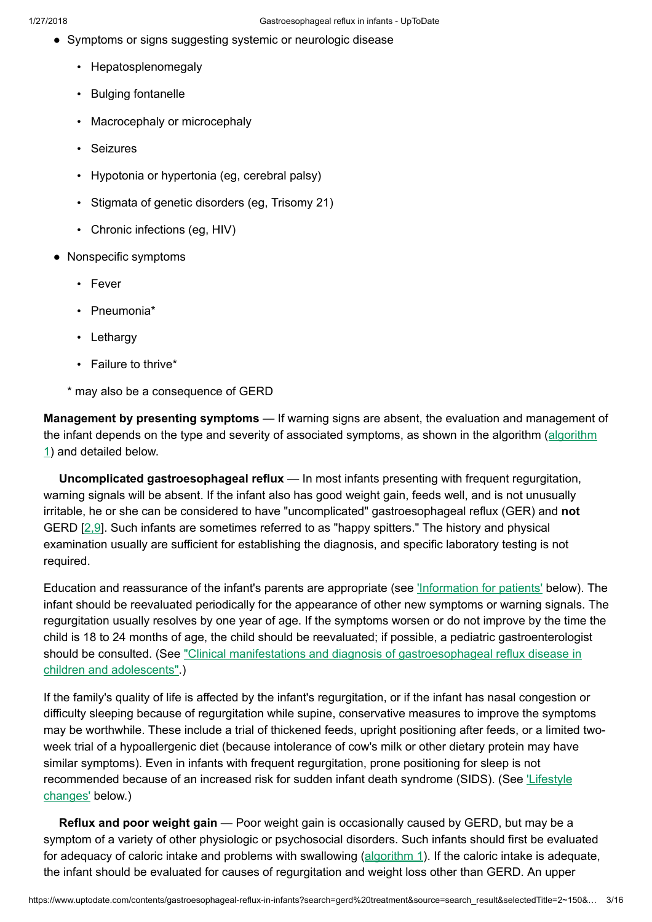- Symptoms or signs suggesting systemic or neurologic disease
	- Hepatosplenomegaly
	- Bulging fontanelle
	- Macrocephaly or microcephaly
	- Seizures
	- Hypotonia or hypertonia (eg, cerebral palsy)
	- Stigmata of genetic disorders (eg, Trisomy 21)
	- Chronic infections (eg, HIV)
- Nonspecific symptoms
	- Fever
	- Pneumonia\*
	- Lethargy
	- Failure to thrive\*
	- \* may also be a consequence of GERD

Management by presenting symptoms — If warning signs are absent, the evaluation and management of the infant depends on the type and severity of associated [symptoms,](https://www.uptodate.com/contents/image?imageKey=PEDS%2F62732&topicKey=PEDS%2F5876&search=gerd+treatment&rank=2%7E150&source=see_link) as shown in the algorithm (algorithm 1) and detailed below.

Uncomplicated gastroesophageal reflux — In most infants presenting with frequent regurgitation, warning signals will be absent. If the infant also has good weight gain, feeds well, and is not unusually irritable, he or she can be considered to have "uncomplicated" gastroesophageal reflux (GER) and not GERD [\[2,9](https://www.uptodate.com/contents/gastroesophageal-reflux-in-infants/abstract/2,9)]. Such infants are sometimes referred to as "happy spitters." The history and physical examination usually are sufficient for establishing the diagnosis, and specific laboratory testing is not required.

Education and reassurance of the infant's parents are appropriate (see ['Information](https://www.uptodate.com/contents/gastroesophageal-reflux-in-infants?search=gerd%20treatment&source=search_result&selectedTitle=2~150&usage_type=default&display_rank=2#H27) for patients' below). The infant should be reevaluated periodically for the appearance of other new symptoms or warning signals. The regurgitation usually resolves by one year of age. If the symptoms worsen or do not improve by the time the child is 18 to 24 months of age, the child should be reevaluated; if possible, a pediatric gastroenterologist should be consulted. (See "Clinical manifestations and diagnosis of [gastroesophageal reflux](https://www.uptodate.com/contents/clinical-manifestations-and-diagnosis-of-gastroesophageal-reflux-disease-in-children-and-adolescents?source=see_link) disease in children and adolescents".)

If the family's quality of life is affected by the infant's regurgitation, or if the infant has nasal congestion or difficulty sleeping because of regurgitation while supine, conservative measures to improve the symptoms may be worthwhile. These include a trial of thickened feeds, upright positioning after feeds, or a limited twoweek trial of a hypoallergenic diet (because intolerance of cow's milk or other dietary protein may have similar symptoms). Even in infants with frequent regurgitation, prone positioning for sleep is not [recommended](https://www.uptodate.com/contents/gastroesophageal-reflux-in-infants?search=gerd%20treatment&source=search_result&selectedTitle=2~150&usage_type=default&display_rank=2#H20) because of an increased risk for sudden infant death syndrome (SIDS). (See Lifestyle changes' below.)

Reflux and poor weight gain — Poor weight gain is occasionally caused by GERD, but may be a symptom of a variety of other physiologic or psychosocial disorders. Such infants should first be evaluated for adequacy of caloric intake and problems with swallowing ([algorithm](https://www.uptodate.com/contents/image?imageKey=PEDS%2F62732&topicKey=PEDS%2F5876&search=gerd+treatment&rank=2%7E150&source=see_link) 1). If the caloric intake is adequate, the infant should be evaluated for causes of regurgitation and weight loss other than GERD. An upper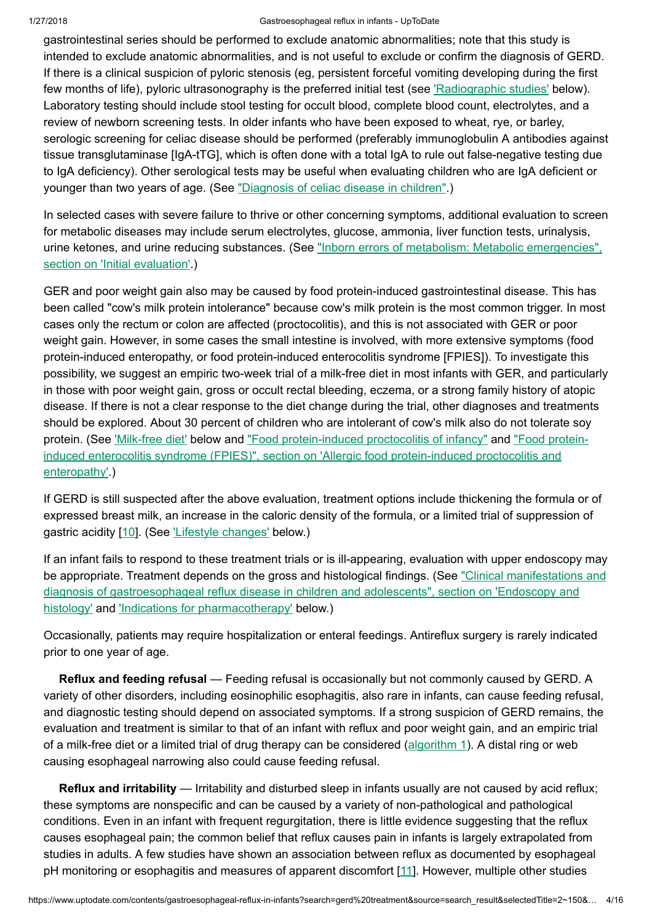#### 1/27/2018 Gastroesophageal reflux in infants - UpToDate

gastrointestinal series should be performed to exclude anatomic abnormalities; note that this study is intended to exclude anatomic abnormalities, and is not useful to exclude or confirm the diagnosis of GERD. If there is a clinical suspicion of pyloric stenosis (eg, persistent forceful vomiting developing during the first few months of life), pyloric ultrasonography is the preferred initial test (see ['Radiographic](https://www.uptodate.com/contents/gastroesophageal-reflux-in-infants?search=gerd%20treatment&source=search_result&selectedTitle=2~150&usage_type=default&display_rank=2#H507464728) studies' below). Laboratory testing should include stool testing for occult blood, complete blood count, electrolytes, and a review of newborn screening tests. In older infants who have been exposed to wheat, rye, or barley, serologic screening for celiac disease should be performed (preferably immunoglobulin A antibodies against tissue transglutaminase [IgA-tTG], which is often done with a total IgA to rule out false-negative testing due to IgA deficiency). Other serological tests may be useful when evaluating children who are IgA deficient or younger than two years of age. (See ["Diagnosis](https://www.uptodate.com/contents/diagnosis-of-celiac-disease-in-children?source=see_link) of celiac disease in children".)

In selected cases with severe failure to thrive or other concerning symptoms, additional evaluation to screen for metabolic diseases may include serum electrolytes, glucose, ammonia, liver function tests, urinalysis, urine ketones, and urine reducing substances. (See "Inborn errors of metabolism: Metabolic emergencies", section on ['Initial evaluation'.\)](https://www.uptodate.com/contents/inborn-errors-of-metabolism-metabolic-emergencies?sectionName=INITIAL+EVALUATION&anchor=H366024&source=see_link#H366024)

GER and poor weight gain also may be caused by food protein-induced gastrointestinal disease. This has been called "cow's milk protein intolerance" because cow's milk protein is the most common trigger. In most cases only the rectum or colon are affected (proctocolitis), and this is not associated with GER or poor weight gain. However, in some cases the small intestine is involved, with more extensive symptoms (food protein-induced enteropathy, or food protein-induced enterocolitis syndrome [FPIES]). To investigate this possibility, we suggest an empiric two-week trial of a milk-free diet in most infants with GER, and particularly in those with poor weight gain, gross or occult rectal bleeding, eczema, or a strong family history of atopic disease. If there is not a clear response to the diet change during the trial, other diagnoses and treatments should be explored. About 30 percent of children who are intolerant of cow's milk also do not tolerate soy protein. (See ['Milk-free](https://www.uptodate.com/contents/gastroesophageal-reflux-in-infants?search=gerd%20treatment&source=search_result&selectedTitle=2~150&usage_type=default&display_rank=2#H21) diet' below and "Food [protein-induced](https://www.uptodate.com/contents/food-protein-induced-proctocolitis-of-infancy?source=see_link) proctocolitis of infancy" and "Food proteininduced enterocolitis syndrome (FPIES)", section on 'Allergic food [protein-induced](https://www.uptodate.com/contents/food-protein-induced-enterocolitis-syndrome-fpies?sectionName=Allergic+food+protein-induced+proctocolitis+and+enteropathy&anchor=H7082251&source=see_link#H7082251) proctocolitis and enteropathy'.)

If GERD is still suspected after the above evaluation, treatment options include thickening the formula or of expressed breast milk, an increase in the caloric density of the formula, or a limited trial of suppression of gastric acidity [[10\]](https://www.uptodate.com/contents/gastroesophageal-reflux-in-infants/abstract/10). (See *'Lifestyle [changes'](https://www.uptodate.com/contents/gastroesophageal-reflux-in-infants?search=gerd%20treatment&source=search_result&selectedTitle=2~150&usage_type=default&display_rank=2#H20)* below.)

If an infant fails to respond to these treatment trials or is ill-appearing, evaluation with upper endoscopy may be appropriate. Treatment depends on the gross and histological findings. (See "Clinical manifestations and diagnosis of [gastroesophageal reflux](https://www.uptodate.com/contents/clinical-manifestations-and-diagnosis-of-gastroesophageal-reflux-disease-in-children-and-adolescents?sectionName=Endoscopy+and+histology&anchor=H9&source=see_link#H9) disease in children and adolescents", section on 'Endoscopy and histology' and 'Indications for [pharmacotherapy'](https://www.uptodate.com/contents/gastroesophageal-reflux-in-infants?search=gerd%20treatment&source=search_result&selectedTitle=2~150&usage_type=default&display_rank=2#H59702266) below.)

Occasionally, patients may require hospitalization or enteral feedings. Antireflux surgery is rarely indicated prior to one year of age.

Reflux and feeding refusal — Feeding refusal is occasionally but not commonly caused by GERD. A variety of other disorders, including eosinophilic esophagitis, also rare in infants, can cause feeding refusal, and diagnostic testing should depend on associated symptoms. If a strong suspicion of GERD remains, the evaluation and treatment is similar to that of an infant with reflux and poor weight gain, and an empiric trial of a milk-free diet or a limited trial of drug therapy can be considered ([algorithm](https://www.uptodate.com/contents/image?imageKey=PEDS%2F62732&topicKey=PEDS%2F5876&search=gerd+treatment&rank=2%7E150&source=see_link) 1). A distal ring or web causing esophageal narrowing also could cause feeding refusal.

Reflux and irritability — Irritability and disturbed sleep in infants usually are not caused by acid reflux; these symptoms are nonspecific and can be caused by a variety of non-pathological and pathological conditions. Even in an infant with frequent regurgitation, there is little evidence suggesting that the reflux causes esophageal pain; the common belief that reflux causes pain in infants is largely extrapolated from studies in adults. A few studies have shown an association between reflux as documented by esophageal pH monitoring or esophagitis and measures of apparent discomfort [\[11](https://www.uptodate.com/contents/gastroesophageal-reflux-in-infants/abstract/11)]. However, multiple other studies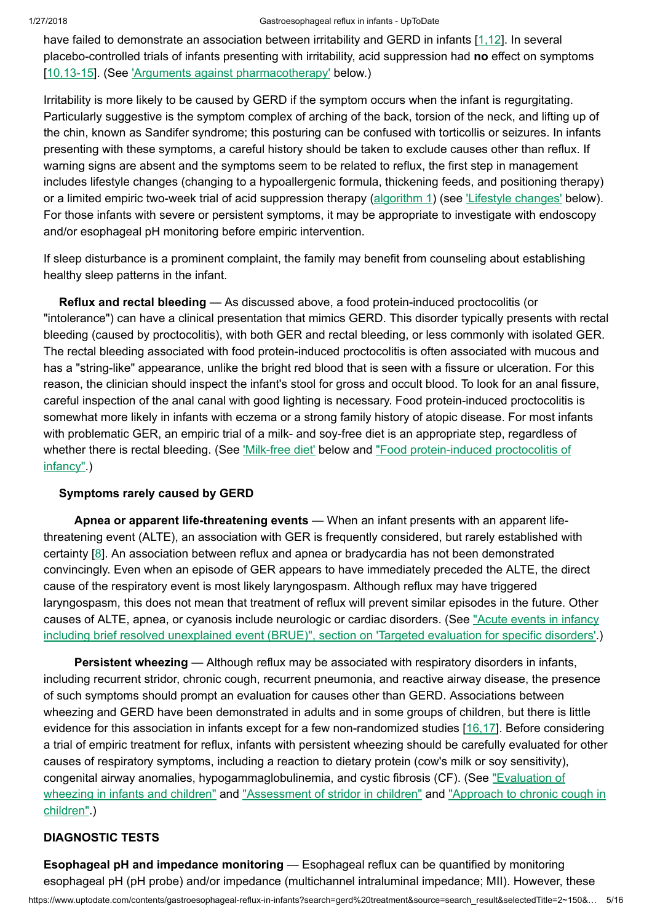have failed to demonstrate an association between irritability and GERD in infants [\[1,12](https://www.uptodate.com/contents/gastroesophageal-reflux-in-infants/abstract/1,12)]. In several placebo-controlled trials of infants presenting with irritability, acid suppression had no effect on symptoms [[10,13-15](https://www.uptodate.com/contents/gastroesophageal-reflux-in-infants/abstract/10,13-15)]. (See 'Arguments against [pharmacotherapy'](https://www.uptodate.com/contents/gastroesophageal-reflux-in-infants?search=gerd%20treatment&source=search_result&selectedTitle=2~150&usage_type=default&display_rank=2#H59702275) below.)

Irritability is more likely to be caused by GERD if the symptom occurs when the infant is regurgitating. Particularly suggestive is the symptom complex of arching of the back, torsion of the neck, and lifting up of the chin, known as Sandifer syndrome; this posturing can be confused with torticollis or seizures. In infants presenting with these symptoms, a careful history should be taken to exclude causes other than reflux. If warning signs are absent and the symptoms seem to be related to reflux, the first step in management includes lifestyle changes (changing to a hypoallergenic formula, thickening feeds, and positioning therapy) or a limited empiric two-week trial of acid suppression therapy [\(algorithm](https://www.uptodate.com/contents/image?imageKey=PEDS%2F62732&topicKey=PEDS%2F5876&search=gerd+treatment&rank=2%7E150&source=see_link) 1) (see 'Lifestyle [changes'](https://www.uptodate.com/contents/gastroesophageal-reflux-in-infants?search=gerd%20treatment&source=search_result&selectedTitle=2~150&usage_type=default&display_rank=2#H20) below). For those infants with severe or persistent symptoms, it may be appropriate to investigate with endoscopy and/or esophageal pH monitoring before empiric intervention.

If sleep disturbance is a prominent complaint, the family may benefit from counseling about establishing healthy sleep patterns in the infant.

Reflux and rectal bleeding — As discussed above, a food protein-induced proctocolitis (or "intolerance") can have a clinical presentation that mimics GERD. This disorder typically presents with rectal bleeding (caused by proctocolitis), with both GER and rectal bleeding, or less commonly with isolated GER. The rectal bleeding associated with food protein-induced proctocolitis is often associated with mucous and has a "string-like" appearance, unlike the bright red blood that is seen with a fissure or ulceration. For this reason, the clinician should inspect the infant's stool for gross and occult blood. To look for an anal fissure, careful inspection of the anal canal with good lighting is necessary. Food protein-induced proctocolitis is somewhat more likely in infants with eczema or a strong family history of atopic disease. For most infants with problematic GER, an empiric trial of a milk- and soy-free diet is an appropriate step, regardless of whether there is rectal bleeding. (See ['Milk-free](https://www.uptodate.com/contents/gastroesophageal-reflux-in-infants?search=gerd%20treatment&source=search_result&selectedTitle=2~150&usage_type=default&display_rank=2#H21) diet' below and "Food [protein-induced](https://www.uptodate.com/contents/food-protein-induced-proctocolitis-of-infancy?source=see_link) proctocolitis of infancy".)

# Symptoms rarely caused by GERD

Apnea or apparent life-threatening events — When an infant presents with an apparent lifethreatening event (ALTE), an association with GER is frequently considered, but rarely established with certainty [[8\]](https://www.uptodate.com/contents/gastroesophageal-reflux-in-infants/abstract/8). An association between reflux and apnea or bradycardia has not been demonstrated convincingly. Even when an episode of GER appears to have immediately preceded the ALTE, the direct cause of the respiratory event is most likely laryngospasm. Although reflux may have triggered laryngospasm, this does not mean that treatment of reflux will prevent similar episodes in the future. Other causes of ALTE, apnea, or cyanosis include neurologic or cardiac disorders. (See "Acute events in infancy including brief resolved [unexplained](https://www.uptodate.com/contents/acute-events-in-infancy-including-brief-resolved-unexplained-event-brue?sectionName=Targeted+evaluation+for+specific+disorders&anchor=H11&source=see_link#H11) event (BRUE)", section on 'Targeted evaluation for specific disorders'.)

Persistent wheezing — Although reflux may be associated with respiratory disorders in infants, including recurrent stridor, chronic cough, recurrent pneumonia, and reactive airway disease, the presence of such symptoms should prompt an evaluation for causes other than GERD. Associations between wheezing and GERD have been demonstrated in adults and in some groups of children, but there is little evidence for this association in infants except for a few non-randomized studies [\[16,17](https://www.uptodate.com/contents/gastroesophageal-reflux-in-infants/abstract/16,17)]. Before considering a trial of empiric treatment for reflux, infants with persistent wheezing should be carefully evaluated for other causes of respiratory symptoms, including a reaction to dietary protein (cow's milk or soy sensitivity), congenital airway anomalies, [hypogammaglobulinemia,](https://www.uptodate.com/contents/evaluation-of-wheezing-in-infants-and-children?source=see_link) and cystic fibrosis (CF). (See "Evaluation of wheezing in infants and children" and ["Assessment](https://www.uptodate.com/contents/approach-to-chronic-cough-in-children?source=see_link) of stridor in children" and "Approach to chronic cough in children".)

# DIAGNOSTIC TESTS

Esophageal pH and impedance monitoring — Esophageal reflux can be quantified by monitoring esophageal pH (pH probe) and/or impedance (multichannel intraluminal impedance; MII). However, these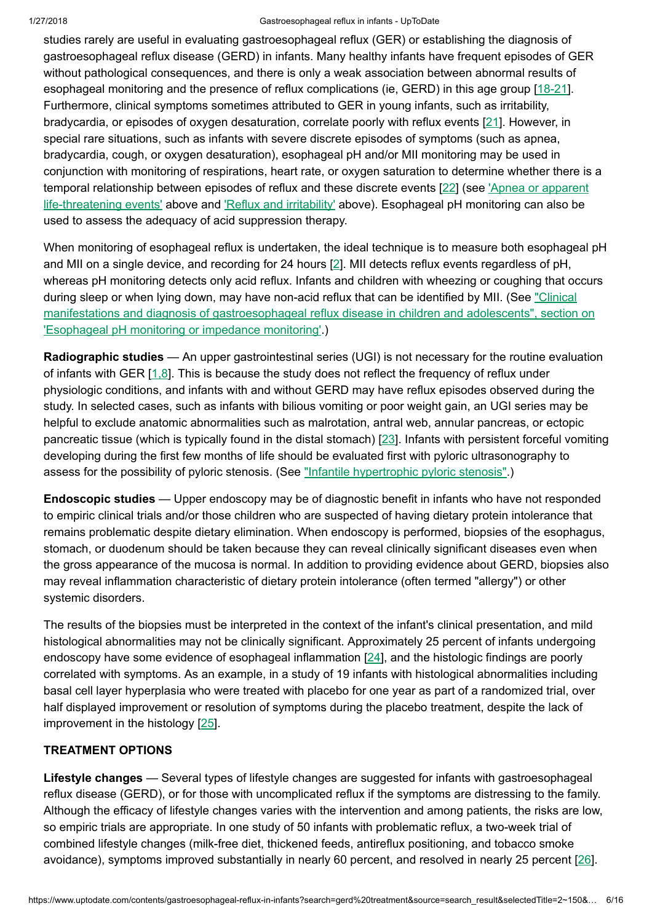#### 1/27/2018 Gastroesophageal reflux in infants - UpToDate

studies rarely are useful in evaluating gastroesophageal reflux (GER) or establishing the diagnosis of gastroesophageal reflux disease (GERD) in infants. Many healthy infants have frequent episodes of GER without pathological consequences, and there is only a weak association between abnormal results of esophageal monitoring and the presence of reflux complications (ie, GERD) in this age group [\[18-21\]](https://www.uptodate.com/contents/gastroesophageal-reflux-in-infants/abstract/18-21). Furthermore, clinical symptoms sometimes attributed to GER in young infants, such as irritability, bradycardia, or episodes of oxygen desaturation, correlate poorly with reflux events [\[21](https://www.uptodate.com/contents/gastroesophageal-reflux-in-infants/abstract/21)]. However, in special rare situations, such as infants with severe discrete episodes of symptoms (such as apnea, bradycardia, cough, or oxygen desaturation), esophageal pH and/or MII monitoring may be used in conjunction with monitoring of respirations, heart rate, or oxygen saturation to determine whether there is a [temporal relationship](https://www.uptodate.com/contents/gastroesophageal-reflux-in-infants?search=gerd%20treatment&source=search_result&selectedTitle=2~150&usage_type=default&display_rank=2#H17) between episodes of reflux and these discrete events [\[22](https://www.uptodate.com/contents/gastroesophageal-reflux-in-infants/abstract/22)] (see 'Apnea or apparent life-threatening events' above and 'Reflux and [irritability'](https://www.uptodate.com/contents/gastroesophageal-reflux-in-infants?search=gerd%20treatment&source=search_result&selectedTitle=2~150&usage_type=default&display_rank=2#H14) above). Esophageal pH monitoring can also be used to assess the adequacy of acid suppression therapy.

When monitoring of esophageal reflux is undertaken, the ideal technique is to measure both esophageal pH and MII on a single device, and recording for 24 hours [\[2](https://www.uptodate.com/contents/gastroesophageal-reflux-in-infants/abstract/2)]. MII detects reflux events regardless of pH, whereas pH monitoring detects only acid reflux. Infants and children with wheezing or coughing that occurs during sleep or when lying down, may have non-acid reflux that can be identified by MII. (See "Clinical manifestations and diagnosis of [gastroesophageal reflux](https://www.uptodate.com/contents/clinical-manifestations-and-diagnosis-of-gastroesophageal-reflux-disease-in-children-and-adolescents?sectionName=Esophageal+pH+monitoring+or+impedance+monitoring&anchor=H10&source=see_link#H10) disease in children and adolescents", section on 'Esophageal pH monitoring or impedance monitoring'.)

Radiographic studies — An upper gastrointestinal series (UGI) is not necessary for the routine evaluation of infants with GER [[1,8\]](https://www.uptodate.com/contents/gastroesophageal-reflux-in-infants/abstract/1,8). This is because the study does not reflect the frequency of reflux under physiologic conditions, and infants with and without GERD may have reflux episodes observed during the study. In selected cases, such as infants with bilious vomiting or poor weight gain, an UGI series may be helpful to exclude anatomic abnormalities such as malrotation, antral web, annular pancreas, or ectopic pancreatic tissue (which is typically found in the distal stomach) [[23\]](https://www.uptodate.com/contents/gastroesophageal-reflux-in-infants/abstract/23). Infants with persistent forceful vomiting developing during the first few months of life should be evaluated first with pyloric ultrasonography to assess for the possibility of pyloric stenosis. (See "Infantile [hypertrophic](https://www.uptodate.com/contents/infantile-hypertrophic-pyloric-stenosis?source=see_link) pyloric stenosis".)

Endoscopic studies — Upper endoscopy may be of diagnostic benefit in infants who have not responded to empiric clinical trials and/or those children who are suspected of having dietary protein intolerance that remains problematic despite dietary elimination. When endoscopy is performed, biopsies of the esophagus, stomach, or duodenum should be taken because they can reveal clinically significant diseases even when the gross appearance of the mucosa is normal. In addition to providing evidence about GERD, biopsies also may reveal inflammation characteristic of dietary protein intolerance (often termed "allergy") or other systemic disorders.

The results of the biopsies must be interpreted in the context of the infant's clinical presentation, and mild histological abnormalities may not be clinically significant. Approximately 25 percent of infants undergoing endoscopy have some evidence of esophageal inflammation [\[24](https://www.uptodate.com/contents/gastroesophageal-reflux-in-infants/abstract/24)], and the histologic findings are poorly correlated with symptoms. As an example, in a study of 19 infants with histological abnormalities including basal cell layer hyperplasia who were treated with placebo for one year as part of a randomized trial, over half displayed improvement or resolution of symptoms during the placebo treatment, despite the lack of improvement in the histology [[25\]](https://www.uptodate.com/contents/gastroesophageal-reflux-in-infants/abstract/25).

# TREATMENT OPTIONS

Lifestyle changes — Several types of lifestyle changes are suggested for infants with gastroesophageal reflux disease (GERD), or for those with uncomplicated reflux if the symptoms are distressing to the family. Although the efficacy of lifestyle changes varies with the intervention and among patients, the risks are low, so empiric trials are appropriate. In one study of 50 infants with problematic reflux, a two-week trial of combined lifestyle changes (milk-free diet, thickened feeds, antireflux positioning, and tobacco smoke avoidance), symptoms improved substantially in nearly 60 percent, and resolved in nearly 25 percent [\[26](https://www.uptodate.com/contents/gastroesophageal-reflux-in-infants/abstract/26)].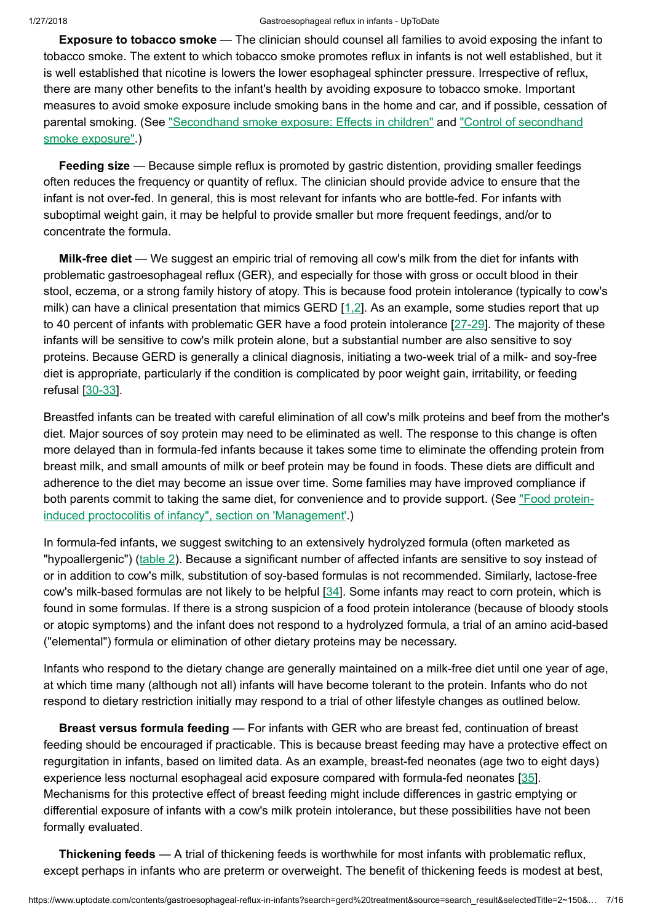Exposure to tobacco smoke — The clinician should counsel all families to avoid exposing the infant to tobacco smoke. The extent to which tobacco smoke promotes reflux in infants is not well established, but it is well established that nicotine is lowers the lower esophageal sphincter pressure. Irrespective of reflux, there are many other benefits to the infant's health by avoiding exposure to tobacco smoke. Important measures to avoid smoke exposure include smoking bans in the home and car, and if possible, cessation of [parental smoking.](https://www.uptodate.com/contents/control-of-secondhand-smoke-exposure?source=see_link) (See ["Secondhand](https://www.uptodate.com/contents/secondhand-smoke-exposure-effects-in-children?source=see_link) smoke exposure: Effects in children" and "Control of secondhand smoke exposure".)

Feeding size — Because simple reflux is promoted by gastric distention, providing smaller feedings often reduces the frequency or quantity of reflux. The clinician should provide advice to ensure that the infant is not over-fed. In general, this is most relevant for infants who are bottle-fed. For infants with suboptimal weight gain, it may be helpful to provide smaller but more frequent feedings, and/or to concentrate the formula.

Milk-free diet — We suggest an empiric trial of removing all cow's milk from the diet for infants with problematic gastroesophageal reflux (GER), and especially for those with gross or occult blood in their stool, eczema, or a strong family history of atopy. This is because food protein intolerance (typically to cow's milk) can have a clinical presentation that mimics GERD [\[1,2](https://www.uptodate.com/contents/gastroesophageal-reflux-in-infants/abstract/1,2)]. As an example, some studies report that up to 40 percent of infants with problematic GER have a food protein intolerance [[27-29](https://www.uptodate.com/contents/gastroesophageal-reflux-in-infants/abstract/27-29)]. The majority of these infants will be sensitive to cow's milk protein alone, but a substantial number are also sensitive to soy proteins. Because GERD is generally a clinical diagnosis, initiating a two-week trial of a milk- and soy-free diet is appropriate, particularly if the condition is complicated by poor weight gain, irritability, or feeding refusal [[30-33\]](https://www.uptodate.com/contents/gastroesophageal-reflux-in-infants/abstract/30-33).

Breastfed infants can be treated with careful elimination of all cow's milk proteins and beef from the mother's diet. Major sources of soy protein may need to be eliminated as well. The response to this change is often more delayed than in formula-fed infants because it takes some time to eliminate the offending protein from breast milk, and small amounts of milk or beef protein may be found in foods. These diets are difficult and adherence to the diet may become an issue over time. Some families may have improved compliance if both parents commit to taking the same diet, for convenience and to provide support. (See "Food proteininduced proctocolitis of infancy", section on ['Management'.\)](https://www.uptodate.com/contents/food-protein-induced-proctocolitis-of-infancy?sectionName=MANAGEMENT&anchor=H7&source=see_link#H7)

In formula-fed infants, we suggest switching to an extensively hydrolyzed formula (often marketed as "hypoallergenic") [\(table](https://www.uptodate.com/contents/image?imageKey=ALLRG%2F79377&topicKey=PEDS%2F5876&search=gerd+treatment&rank=2%7E150&source=see_link) 2). Because a significant number of affected infants are sensitive to soy instead of or in addition to cow's milk, substitution of soy-based formulas is not recommended. Similarly, lactose-free cow's milk-based formulas are not likely to be helpful [[34\]](https://www.uptodate.com/contents/gastroesophageal-reflux-in-infants/abstract/34). Some infants may react to corn protein, which is found in some formulas. If there is a strong suspicion of a food protein intolerance (because of bloody stools or atopic symptoms) and the infant does not respond to a hydrolyzed formula, a trial of an amino acid-based ("elemental") formula or elimination of other dietary proteins may be necessary.

Infants who respond to the dietary change are generally maintained on a milk-free diet until one year of age, at which time many (although not all) infants will have become tolerant to the protein. Infants who do not respond to dietary restriction initially may respond to a trial of other lifestyle changes as outlined below.

Breast versus formula feeding — For infants with GER who are breast fed, continuation of breast feeding should be encouraged if practicable. This is because breast feeding may have a protective effect on regurgitation in infants, based on limited data. As an example, breast-fed neonates (age two to eight days) experience less nocturnal esophageal acid exposure compared with formula-fed neonates [[35\]](https://www.uptodate.com/contents/gastroesophageal-reflux-in-infants/abstract/35). Mechanisms for this protective effect of breast feeding might include differences in gastric emptying or differential exposure of infants with a cow's milk protein intolerance, but these possibilities have not been formally evaluated.

Thickening feeds — A trial of thickening feeds is worthwhile for most infants with problematic reflux, except perhaps in infants who are preterm or overweight. The benefit of thickening feeds is modest at best,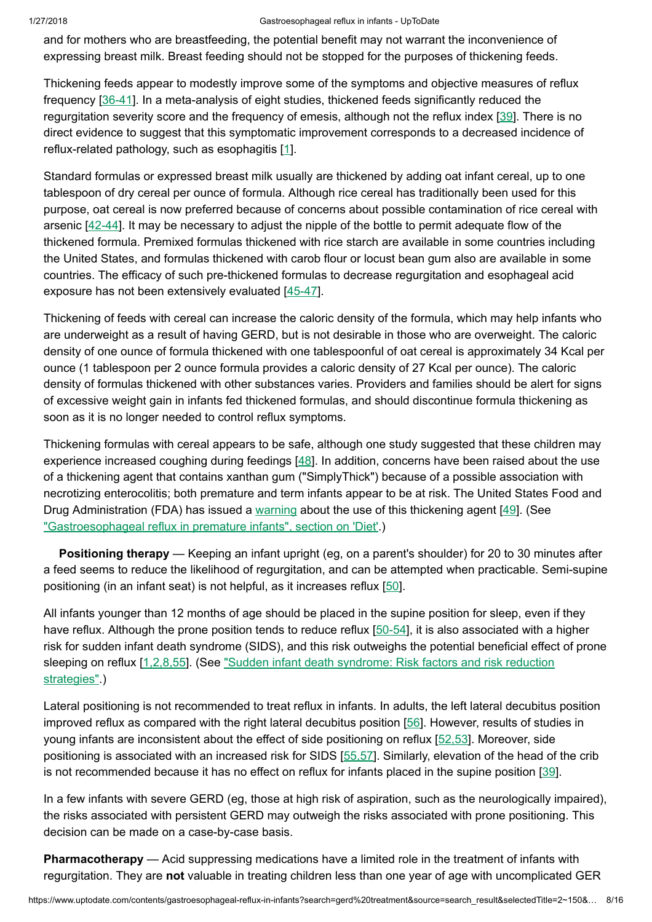#### 1/27/2018 Gastroesophageal reflux in infants - UpToDate

and for mothers who are breastfeeding, the potential benefit may not warrant the inconvenience of expressing breast milk. Breast feeding should not be stopped for the purposes of thickening feeds.

Thickening feeds appear to modestly improve some of the symptoms and objective measures of reflux frequency [[36-41\]](https://www.uptodate.com/contents/gastroesophageal-reflux-in-infants/abstract/36-41). In a meta-analysis of eight studies, thickened feeds significantly reduced the regurgitation severity score and the frequency of emesis, although not the reflux index [\[39](https://www.uptodate.com/contents/gastroesophageal-reflux-in-infants/abstract/39)]. There is no direct evidence to suggest that this symptomatic improvement corresponds to a decreased incidence of reflux-related pathology, such as esophagitis [[1\]](https://www.uptodate.com/contents/gastroesophageal-reflux-in-infants/abstract/1).

Standard formulas or expressed breast milk usually are thickened by adding oat infant cereal, up to one tablespoon of dry cereal per ounce of formula. Although rice cereal has traditionally been used for this purpose, oat cereal is now preferred because of concerns about possible contamination of rice cereal with arsenic [[42-44\]](https://www.uptodate.com/contents/gastroesophageal-reflux-in-infants/abstract/42-44). It may be necessary to adjust the nipple of the bottle to permit adequate flow of the thickened formula. Premixed formulas thickened with rice starch are available in some countries including the United States, and formulas thickened with carob flour or locust bean gum also are available in some countries. The efficacy of such pre-thickened formulas to decrease regurgitation and esophageal acid exposure has not been extensively evaluated [\[45-47](https://www.uptodate.com/contents/gastroesophageal-reflux-in-infants/abstract/45-47)].

Thickening of feeds with cereal can increase the caloric density of the formula, which may help infants who are underweight as a result of having GERD, but is not desirable in those who are overweight. The caloric density of one ounce of formula thickened with one tablespoonful of oat cereal is approximately 34 Kcal per ounce (1 tablespoon per 2 ounce formula provides a caloric density of 27 Kcal per ounce). The caloric density of formulas thickened with other substances varies. Providers and families should be alert for signs of excessive weight gain in infants fed thickened formulas, and should discontinue formula thickening as soon as it is no longer needed to control reflux symptoms.

Thickening formulas with cereal appears to be safe, although one study suggested that these children may experience increased coughing during feedings [\[48](https://www.uptodate.com/contents/gastroesophageal-reflux-in-infants/abstract/48)]. In addition, concerns have been raised about the use of a thickening agent that contains xanthan gum ("SimplyThick") because of a possible association with necrotizing enterocolitis; both premature and term infants appear to be at risk. The United States Food and Drug Administration (FDA) has issued a [warning](https://www.uptodate.com/external-redirect.do?target_url=https%3A%2F%2Fwayback.archive-it.org%2F7993%2F20161023045724%2Fhttp%3A%2F%2Fwww.fda.gov%2FNewsEvents%2FNewsroom%2FPressAnnouncements%2Fucm256253.htm&TOPIC_ID=5876) about the use of this thickening agent [[49](https://www.uptodate.com/contents/gastroesophageal-reflux-in-infants/abstract/49)]. (See ["Gastroesophageal reflux](https://www.uptodate.com/contents/gastroesophageal-reflux-in-premature-infants?sectionName=Diet&anchor=H22&source=see_link#H22) in premature infants", section on 'Diet'.)

Positioning therapy — Keeping an infant upright (eg, on a parent's shoulder) for 20 to 30 minutes after a feed seems to reduce the likelihood of regurgitation, and can be attempted when practicable. Semi-supine positioning (in an infant seat) is not helpful, as it increases reflux [\[50](https://www.uptodate.com/contents/gastroesophageal-reflux-in-infants/abstract/50)].

All infants younger than 12 months of age should be placed in the supine position for sleep, even if they have reflux. Although the prone position tends to reduce reflux [\[50-54](https://www.uptodate.com/contents/gastroesophageal-reflux-in-infants/abstract/50-54)], it is also associated with a higher risk for sudden infant death syndrome (SIDS), and this risk outweighs the potential beneficial effect of prone sleeping on reflux [\[1,2,8,55](https://www.uptodate.com/contents/gastroesophageal-reflux-in-infants/abstract/1,2,8,55)]. (See "Sudden infant death syndrome: Risk factors and risk reduction [strategies".\)](https://www.uptodate.com/contents/sudden-infant-death-syndrome-risk-factors-and-risk-reduction-strategies?source=see_link)

Lateral positioning is not recommended to treat reflux in infants. In adults, the left lateral decubitus position improved reflux as compared with the right lateral decubitus position [\[56](https://www.uptodate.com/contents/gastroesophageal-reflux-in-infants/abstract/56)]. However, results of studies in young infants are inconsistent about the effect of side positioning on reflux [[52,53](https://www.uptodate.com/contents/gastroesophageal-reflux-in-infants/abstract/52,53)]. Moreover, side positioning is associated with an increased risk for SIDS [\[55,57](https://www.uptodate.com/contents/gastroesophageal-reflux-in-infants/abstract/55,57)]. Similarly, elevation of the head of the crib is not recommended because it has no effect on reflux for infants placed in the supine position [[39\]](https://www.uptodate.com/contents/gastroesophageal-reflux-in-infants/abstract/39).

In a few infants with severe GERD (eg, those at high risk of aspiration, such as the neurologically impaired), the risks associated with persistent GERD may outweigh the risks associated with prone positioning. This decision can be made on a case-by-case basis.

**Pharmacotherapy** — Acid suppressing medications have a limited role in the treatment of infants with regurgitation. They are not valuable in treating children less than one year of age with uncomplicated GER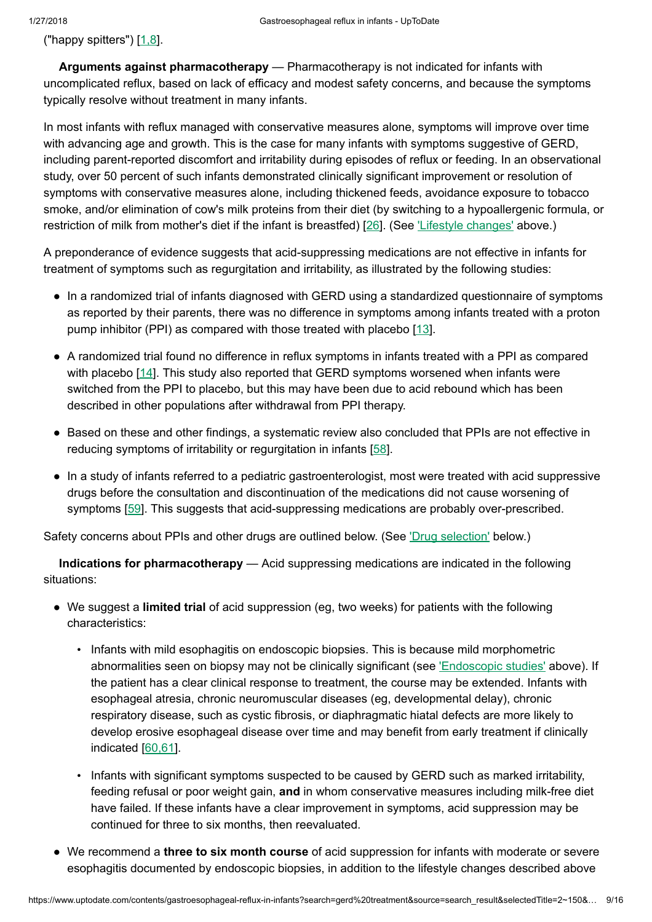("happy spitters")  $[1,8]$  $[1,8]$ .

Arguments against pharmacotherapy — Pharmacotherapy is not indicated for infants with uncomplicated reflux, based on lack of efficacy and modest safety concerns, and because the symptoms typically resolve without treatment in many infants.

In most infants with reflux managed with conservative measures alone, symptoms will improve over time with advancing age and growth. This is the case for many infants with symptoms suggestive of GERD, including parent-reported discomfort and irritability during episodes of reflux or feeding. In an observational study, over 50 percent of such infants demonstrated clinically significant improvement or resolution of symptoms with conservative measures alone, including thickened feeds, avoidance exposure to tobacco smoke, and/or elimination of cow's milk proteins from their diet (by switching to a hypoallergenic formula, or restriction of milk from mother's diet if the infant is breastfed) [\[26](https://www.uptodate.com/contents/gastroesophageal-reflux-in-infants/abstract/26)]. (See Lifestyle [changes'](https://www.uptodate.com/contents/gastroesophageal-reflux-in-infants?search=gerd%20treatment&source=search_result&selectedTitle=2~150&usage_type=default&display_rank=2#H20) above.)

A preponderance of evidence suggests that acid-suppressing medications are not effective in infants for treatment of symptoms such as regurgitation and irritability, as illustrated by the following studies:

- In a randomized trial of infants diagnosed with GERD using a standardized questionnaire of symptoms as reported by their parents, there was no difference in symptoms among infants treated with a proton pump inhibitor (PPI) as compared with those treated with placebo [\[13](https://www.uptodate.com/contents/gastroesophageal-reflux-in-infants/abstract/13)].
- A randomized trial found no difference in reflux symptoms in infants treated with a PPI as compared with placebo [\[14](https://www.uptodate.com/contents/gastroesophageal-reflux-in-infants/abstract/14)]. This study also reported that GERD symptoms worsened when infants were switched from the PPI to placebo, but this may have been due to acid rebound which has been described in other populations after withdrawal from PPI therapy.
- Based on these and other findings, a systematic review also concluded that PPIs are not effective in reducing symptoms of irritability or regurgitation in infants [\[58](https://www.uptodate.com/contents/gastroesophageal-reflux-in-infants/abstract/58)].
- In a study of infants referred to a pediatric gastroenterologist, most were treated with acid suppressive drugs before the consultation and discontinuation of the medications did not cause worsening of symptoms [[59\]](https://www.uptodate.com/contents/gastroesophageal-reflux-in-infants/abstract/59). This suggests that acid-suppressing medications are probably over-prescribed.

Safety concerns about PPIs and other drugs are outlined below. (See 'Drug [selection'](https://www.uptodate.com/contents/gastroesophageal-reflux-in-infants?search=gerd%20treatment&source=search_result&selectedTitle=2~150&usage_type=default&display_rank=2#H74343548) below.)

Indications for pharmacotherapy — Acid suppressing medications are indicated in the following situations:

- We suggest a limited trial of acid suppression (eg, two weeks) for patients with the following characteristics:
	- Infants with mild esophagitis on endoscopic biopsies. This is because mild morphometric abnormalities seen on biopsy may not be clinically significant (see ['Endoscopic](https://www.uptodate.com/contents/gastroesophageal-reflux-in-infants?search=gerd%20treatment&source=search_result&selectedTitle=2~150&usage_type=default&display_rank=2#H507464749) studies' above). If the patient has a clear clinical response to treatment, the course may be extended. Infants with esophageal atresia, chronic neuromuscular diseases (eg, developmental delay), chronic respiratory disease, such as cystic fibrosis, or diaphragmatic hiatal defects are more likely to develop erosive esophageal disease over time and may benefit from early treatment if clinically indicated [[60,61\]](https://www.uptodate.com/contents/gastroesophageal-reflux-in-infants/abstract/60,61).
	- Infants with significant symptoms suspected to be caused by GERD such as marked irritability, feeding refusal or poor weight gain, and in whom conservative measures including milk-free diet have failed. If these infants have a clear improvement in symptoms, acid suppression may be continued for three to six months, then reevaluated.
- We recommend a three to six month course of acid suppression for infants with moderate or severe esophagitis documented by endoscopic biopsies, in addition to the lifestyle changes described above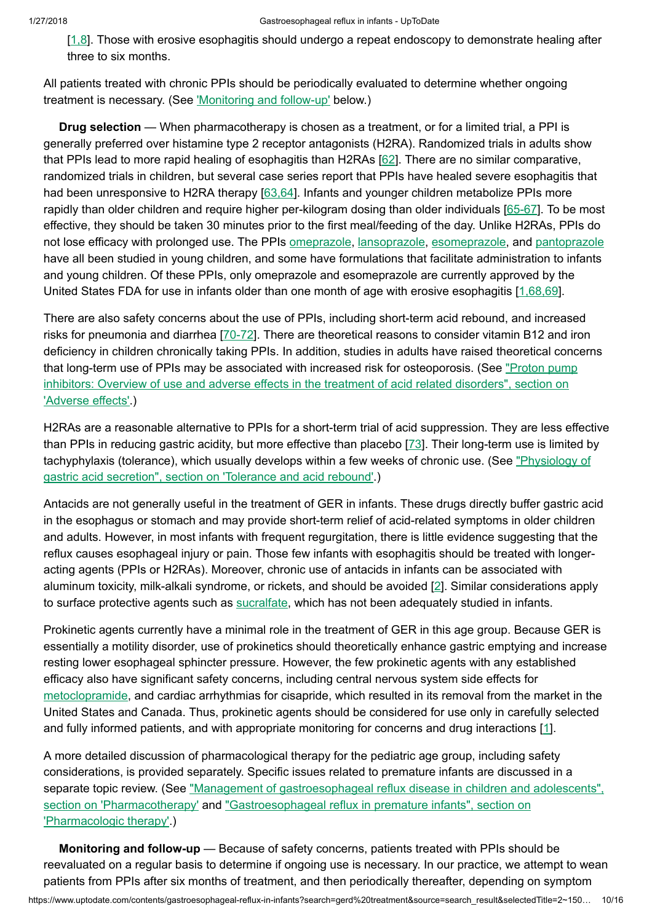[\[1,8](https://www.uptodate.com/contents/gastroesophageal-reflux-in-infants/abstract/1,8)]. Those with erosive esophagitis should undergo a repeat endoscopy to demonstrate healing after three to six months.

All patients treated with chronic PPIs should be periodically evaluated to determine whether ongoing treatment is necessary. (See *Monitoring and follow-up'* below.)

Drug selection — When pharmacotherapy is chosen as a treatment, or for a limited trial, a PPI is generally preferred over histamine type 2 receptor antagonists (H2RA). Randomized trials in adults show that PPIs lead to more rapid healing of esophagitis than H2RAs [[62\]](https://www.uptodate.com/contents/gastroesophageal-reflux-in-infants/abstract/62). There are no similar comparative, randomized trials in children, but several case series report that PPIs have healed severe esophagitis that had been unresponsive to H2RA therapy [\[63,64](https://www.uptodate.com/contents/gastroesophageal-reflux-in-infants/abstract/63,64)]. Infants and younger children metabolize PPIs more rapidly than older children and require higher per-kilogram dosing than older individuals [[65-67](https://www.uptodate.com/contents/gastroesophageal-reflux-in-infants/abstract/65-67)]. To be most effective, they should be taken 30 minutes prior to the first meal/feeding of the day. Unlike H2RAs, PPIs do not lose efficacy with prolonged use. The PPIs [omeprazole,](https://www.uptodate.com/contents/omeprazole-pediatric-drug-information?source=see_link) [lansoprazole,](https://www.uptodate.com/contents/lansoprazole-pediatric-drug-information?source=see_link) [esomeprazole,](https://www.uptodate.com/contents/esomeprazole-pediatric-drug-information?source=see_link) and [pantoprazole](https://www.uptodate.com/contents/pantoprazole-pediatric-drug-information?source=see_link) have all been studied in young children, and some have formulations that facilitate administration to infants and young children. Of these PPIs, only omeprazole and esomeprazole are currently approved by the United States FDA for use in infants older than one month of age with erosive esophagitis [\[1,68,69](https://www.uptodate.com/contents/gastroesophageal-reflux-in-infants/abstract/1,68,69)].

There are also safety concerns about the use of PPIs, including short-term acid rebound, and increased risks for pneumonia and diarrhea [[70-72\]](https://www.uptodate.com/contents/gastroesophageal-reflux-in-infants/abstract/70-72). There are theoretical reasons to consider vitamin B12 and iron deficiency in children chronically taking PPIs. In addition, studies in adults have raised theoretical concerns that long-term use of PPIs may be associated with increased risk for [osteoporosis.](https://www.uptodate.com/contents/proton-pump-inhibitors-overview-of-use-and-adverse-effects-in-the-treatment-of-acid-related-disorders?sectionName=ADVERSE+EFFECTS&anchor=H59974871&source=see_link#H59974871) (See "Proton pump inhibitors: Overview of use and adverse effects in the treatment of acid related disorders", section on 'Adverse effects'.)

H2RAs are a reasonable alternative to PPIs for a short-term trial of acid suppression. They are less effective than PPIs in reducing gastric acidity, but more effective than placebo [[73\]](https://www.uptodate.com/contents/gastroesophageal-reflux-in-infants/abstract/73). Their long-term use is limited by [tachyphylaxis](https://www.uptodate.com/contents/physiology-of-gastric-acid-secretion?sectionName=Tolerance+and+acid+rebound&anchor=H15&source=see_link#H15) (tolerance), which usually develops within a few weeks of chronic use. (See "Physiology of gastric acid secretion", section on 'Tolerance and acid rebound'.)

Antacids are not generally useful in the treatment of GER in infants. These drugs directly buffer gastric acid in the esophagus or stomach and may provide short-term relief of acid-related symptoms in older children and adults. However, in most infants with frequent regurgitation, there is little evidence suggesting that the reflux causes esophageal injury or pain. Those few infants with esophagitis should be treated with longeracting agents (PPIs or H2RAs). Moreover, chronic use of antacids in infants can be associated with aluminum toxicity, milk-alkali syndrome, or rickets, and should be avoided [[2\]](https://www.uptodate.com/contents/gastroesophageal-reflux-in-infants/abstract/2). Similar considerations apply to surface protective agents such as [sucralfate](https://www.uptodate.com/contents/sucralfate-pediatric-drug-information?source=see_link), which has not been adequately studied in infants.

Prokinetic agents currently have a minimal role in the treatment of GER in this age group. Because GER is essentially a motility disorder, use of prokinetics should theoretically enhance gastric emptying and increase resting lower esophageal sphincter pressure. However, the few prokinetic agents with any established efficacy also have significant safety concerns, including central nervous system side effects for [metoclopramide,](https://www.uptodate.com/contents/metoclopramide-pediatric-drug-information?source=see_link) and cardiac arrhythmias for cisapride, which resulted in its removal from the market in the United States and Canada. Thus, prokinetic agents should be considered for use only in carefully selected and fully informed patients, and with appropriate monitoring for concerns and drug interactions [[1\]](https://www.uptodate.com/contents/gastroesophageal-reflux-in-infants/abstract/1).

A more detailed discussion of pharmacological therapy for the pediatric age group, including safety considerations, is provided separately. Specific issues related to premature infants are discussed in a separate topic review. (See "Management of gastroesophageal reflux disease in children and adolescents", section on 'Pharmacotherapy' and ["Gastroesophageal reflux](https://www.uptodate.com/contents/management-of-gastroesophageal-reflux-disease-in-children-and-adolescents?sectionName=PHARMACOTHERAPY&anchor=H3&source=see_link#H3) in premature infants", section on 'Pharmacologic therapy'.)

Monitoring and follow-up — Because of safety concerns, patients treated with PPIs should be reevaluated on a regular basis to determine if ongoing use is necessary. In our practice, we attempt to wean patients from PPIs after six months of treatment, and then periodically thereafter, depending on symptom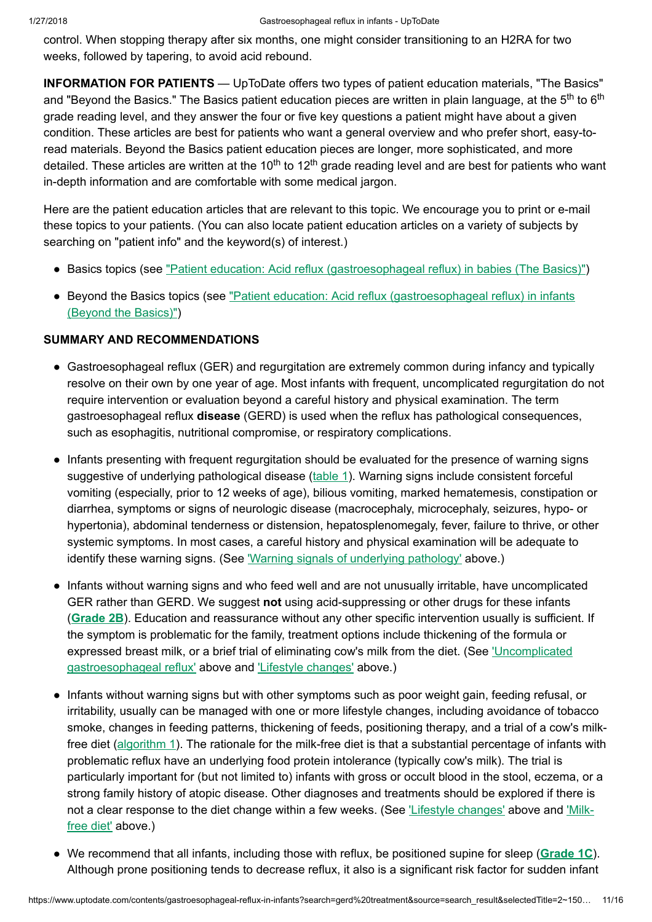control. When stopping therapy after six months, one might consider transitioning to an H2RA for two weeks, followed by tapering, to avoid acid rebound.

INFORMATION FOR PATIENTS — UpToDate offers two types of patient education materials, "The Basics" and "Beyond the Basics." The Basics patient education pieces are written in plain language, at the 5<sup>th</sup> to 6<sup>th</sup> grade reading level, and they answer the four or five key questions a patient might have about a given condition. These articles are best for patients who want a general overview and who prefer short, easy-toread materials. Beyond the Basics patient education pieces are longer, more sophisticated, and more detailed. These articles are written at the 10<sup>th</sup> to 12<sup>th</sup> grade reading level and are best for patients who want in-depth information and are comfortable with some medical jargon.

Here are the patient education articles that are relevant to this topic. We encourage you to print or e-mail these topics to your patients. (You can also locate patient education articles on a variety of subjects by searching on "patient info" and the keyword(s) of interest.)

- Basics topics (see "Patient education: Acid reflux [\(gastroesophageal reflux\)](https://www.uptodate.com/contents/acid-reflux-gastroesophageal-reflux-in-babies-the-basics?source=see_link) in babies (The Basics)")
- Beyond the Basics topics (see "Patient education: Acid reflux [\(gastroesophageal reflux\)](https://www.uptodate.com/contents/acid-reflux-gastroesophageal-reflux-in-infants-beyond-the-basics?source=see_link) in infants (Beyond the Basics)")

# SUMMARY AND RECOMMENDATIONS

- Gastroesophageal reflux (GER) and regurgitation are extremely common during infancy and typically resolve on their own by one year of age. Most infants with frequent, uncomplicated regurgitation do not require intervention or evaluation beyond a careful history and physical examination. The term gastroesophageal reflux disease (GERD) is used when the reflux has pathological consequences, such as esophagitis, nutritional compromise, or respiratory complications.
- Infants presenting with frequent regurgitation should be evaluated for the presence of warning signs suggestive of underlying pathological disease ([table](https://www.uptodate.com/contents/image?imageKey=PEDS%2F61133&topicKey=PEDS%2F5876&search=gerd+treatment&rank=2%7E150&source=see_link) 1). Warning signs include consistent forceful vomiting (especially, prior to 12 weeks of age), bilious vomiting, marked hematemesis, constipation or diarrhea, symptoms or signs of neurologic disease (macrocephaly, microcephaly, seizures, hypo- or hypertonia), abdominal tenderness or distension, hepatosplenomegaly, fever, failure to thrive, or other systemic symptoms. In most cases, a careful history and physical examination will be adequate to identify these warning signs. (See 'Warning signals of [underlying](https://www.uptodate.com/contents/gastroesophageal-reflux-in-infants?search=gerd%20treatment&source=search_result&selectedTitle=2~150&usage_type=default&display_rank=2#H11) pathology' above.)
- Infants without warning signs and who feed well and are not unusually irritable, have uncomplicated GER rather than GERD. We suggest not using acid-suppressing or other drugs for these infants ([Grade](https://www.uptodate.com/contents/grade/5?title=Grade%202B&topicKey=PEDS/5876) 2B). Education and reassurance without any other specific intervention usually is sufficient. If the symptom is problematic for the family, treatment options include thickening of the formula or expressed breast milk, or a brief trial of eliminating cow's milk from the diet. (See 'Uncomplicated [gastroesophageal reflux'](https://www.uptodate.com/contents/gastroesophageal-reflux-in-infants?search=gerd%20treatment&source=search_result&selectedTitle=2~150&usage_type=default&display_rank=2#H12) above and 'Lifestyle [changes'](https://www.uptodate.com/contents/gastroesophageal-reflux-in-infants?search=gerd%20treatment&source=search_result&selectedTitle=2~150&usage_type=default&display_rank=2#H20) above.)
- Infants without warning signs but with other symptoms such as poor weight gain, feeding refusal, or irritability, usually can be managed with one or more lifestyle changes, including avoidance of tobacco smoke, changes in feeding patterns, thickening of feeds, positioning therapy, and a trial of a cow's milkfree diet [\(algorithm](https://www.uptodate.com/contents/image?imageKey=PEDS%2F62732&topicKey=PEDS%2F5876&search=gerd+treatment&rank=2%7E150&source=see_link) 1). The rationale for the milk-free diet is that a substantial percentage of infants with problematic reflux have an underlying food protein intolerance (typically cow's milk). The trial is particularly important for (but not limited to) infants with gross or occult blood in the stool, eczema, or a strong family history of atopic disease. Other diagnoses and treatments should be explored if there is not a clear [response](https://www.uptodate.com/contents/gastroesophageal-reflux-in-infants?search=gerd%20treatment&source=search_result&selectedTitle=2~150&usage_type=default&display_rank=2#H21) to the diet change within a few weeks. (See 'Lifestyle [changes'](https://www.uptodate.com/contents/gastroesophageal-reflux-in-infants?search=gerd%20treatment&source=search_result&selectedTitle=2~150&usage_type=default&display_rank=2#H20) above and 'Milkfree diet' above.)
- We recommend that all infants, including those with reflux, be positioned supine for sleep ([Grade](https://www.uptodate.com/contents/grade/3?title=Grade%201C&topicKey=PEDS/5876) 1C). Although prone positioning tends to decrease reflux, it also is a significant risk factor for sudden infant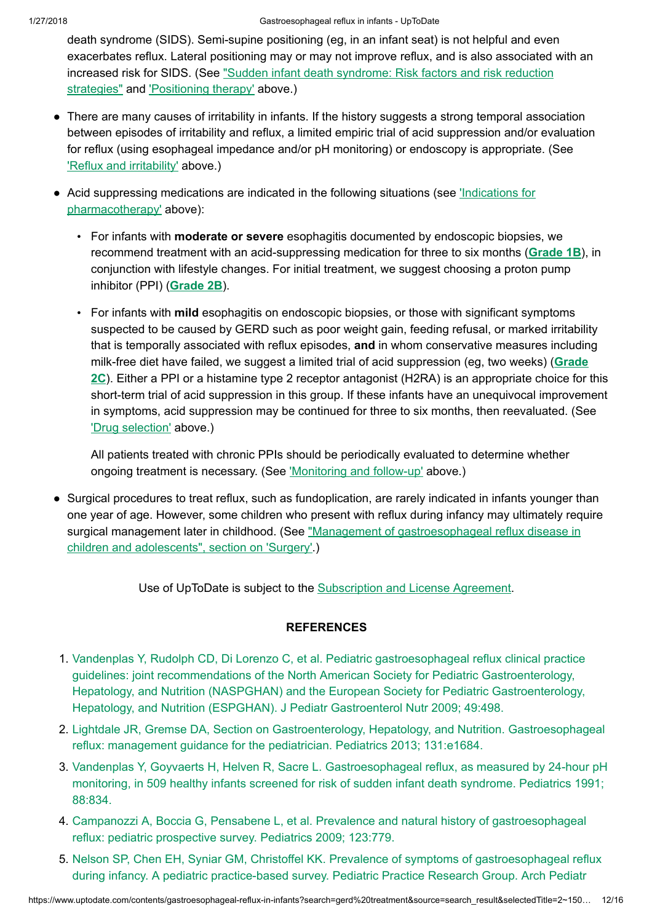death syndrome (SIDS). Semi-supine positioning (eg, in an infant seat) is not helpful and even exacerbates reflux. Lateral positioning may or may not improve reflux, and is also associated with an increased risk for SIDS. (See "Sudden infant death syndrome: Risk factors and risk reduction strategies" and ['Positioning](https://www.uptodate.com/contents/sudden-infant-death-syndrome-risk-factors-and-risk-reduction-strategies?source=see_link) therapy' above.)

- There are many causes of irritability in infants. If the history suggests a strong temporal association between episodes of irritability and reflux, a limited empiric trial of acid suppression and/or evaluation for reflux (using esophageal impedance and/or pH monitoring) or endoscopy is appropriate. (See 'Reflux and [irritability'](https://www.uptodate.com/contents/gastroesophageal-reflux-in-infants?search=gerd%20treatment&source=search_result&selectedTitle=2~150&usage_type=default&display_rank=2#H14) above.)
- Acid suppressing medications are indicated in the following situations (see *'Indications for* [pharmacotherapy'](https://www.uptodate.com/contents/gastroesophageal-reflux-in-infants?search=gerd%20treatment&source=search_result&selectedTitle=2~150&usage_type=default&display_rank=2#H59702266) above):
	- For infants with **moderate or severe** esophagitis documented by endoscopic biopsies, we recommend treatment with an acid-suppressing medication for three to six months ([Grade](https://www.uptodate.com/contents/grade/2?title=Grade%201B&topicKey=PEDS/5876) 1B), in conjunction with lifestyle changes. For initial treatment, we suggest choosing a proton pump inhibitor (PPI) ([Grade](https://www.uptodate.com/contents/grade/5?title=Grade%202B&topicKey=PEDS/5876) 2B).
	- For infants with mild esophagitis on endoscopic biopsies, or those with significant symptoms suspected to be caused by GERD such as poor weight gain, feeding refusal, or marked irritability that is temporally associated with reflux episodes, and in whom conservative measures including milk-free diet have failed, we suggest a limited trial of acid [suppression](https://www.uptodate.com/contents/grade/6?title=Grade%202C&topicKey=PEDS/5876) (eg, two weeks) (Grade 2C). Either a PPI or a histamine type 2 receptor antagonist (H2RA) is an appropriate choice for this short-term trial of acid suppression in this group. If these infants have an unequivocal improvement in symptoms, acid suppression may be continued for three to six months, then reevaluated. (See 'Drug [selection'](https://www.uptodate.com/contents/gastroesophageal-reflux-in-infants?search=gerd%20treatment&source=search_result&selectedTitle=2~150&usage_type=default&display_rank=2#H74343548) above.)

All patients treated with chronic PPIs should be periodically evaluated to determine whether ongoing treatment is necessary. (See ['Monitoring](https://www.uptodate.com/contents/gastroesophageal-reflux-in-infants?search=gerd%20treatment&source=search_result&selectedTitle=2~150&usage_type=default&display_rank=2#H74344263) and follow-up' above.)

• Surgical procedures to treat reflux, such as fundoplication, are rarely indicated in infants younger than one year of age. However, some children who present with reflux during infancy may ultimately require surgical management later in childhood. (See "Management of [gastroesophageal reflux](https://www.uptodate.com/contents/management-of-gastroesophageal-reflux-disease-in-children-and-adolescents?sectionName=SURGERY&anchor=H12&source=see_link#H12) disease in children and adolescents", section on 'Surgery'.)

Use of UpToDate is subject to the [Subscription](https://www.uptodate.com/legal/license) and License Agreement.

## **REFERENCES**

- 1. Vandenplas Y, Rudolph CD, Di Lorenzo C, et al. Pediatric [gastroesophageal reflux](https://www.uptodate.com/contents/gastroesophageal-reflux-in-infants/abstract/1) clinical practice guidelines: joint recommendations of the North American Society for Pediatric Gastroenterology, Hepatology, and Nutrition (NASPGHAN) and the European Society for Pediatric Gastroenterology, Hepatology, and Nutrition (ESPGHAN). J Pediatr Gastroenterol Nutr 2009; 49:498.
- 2. Lightdale JR, Gremse DA, Section on Gastroenterology, Hepatology, and Nutrition. [Gastroesophageal](https://www.uptodate.com/contents/gastroesophageal-reflux-in-infants/abstract/2) reflux: management guidance for the pediatrician. Pediatrics 2013; 131:e1684.
- 3. Vandenplas Y, Goyvaerts H, Helven R, Sacre L. [Gastroesophageal reflux,](https://www.uptodate.com/contents/gastroesophageal-reflux-in-infants/abstract/3) as measured by 24-hour pH monitoring, in 509 healthy infants screened for risk of sudden infant death syndrome. Pediatrics 1991; 88:834.
- 4. Campanozzi A, Boccia G, Pensabene L, et al. Prevalence and natural history of [gastroesophageal](https://www.uptodate.com/contents/gastroesophageal-reflux-in-infants/abstract/4) reflux: pediatric prospective survey. Pediatrics 2009; 123:779.
- 5. Nelson SP, Chen EH, Syniar GM, Christoffel KK. Prevalence of symptoms of [gastroesophageal reflux](https://www.uptodate.com/contents/gastroesophageal-reflux-in-infants/abstract/5) during infancy. A pediatric practice-based survey. Pediatric Practice Research Group. Arch Pediatr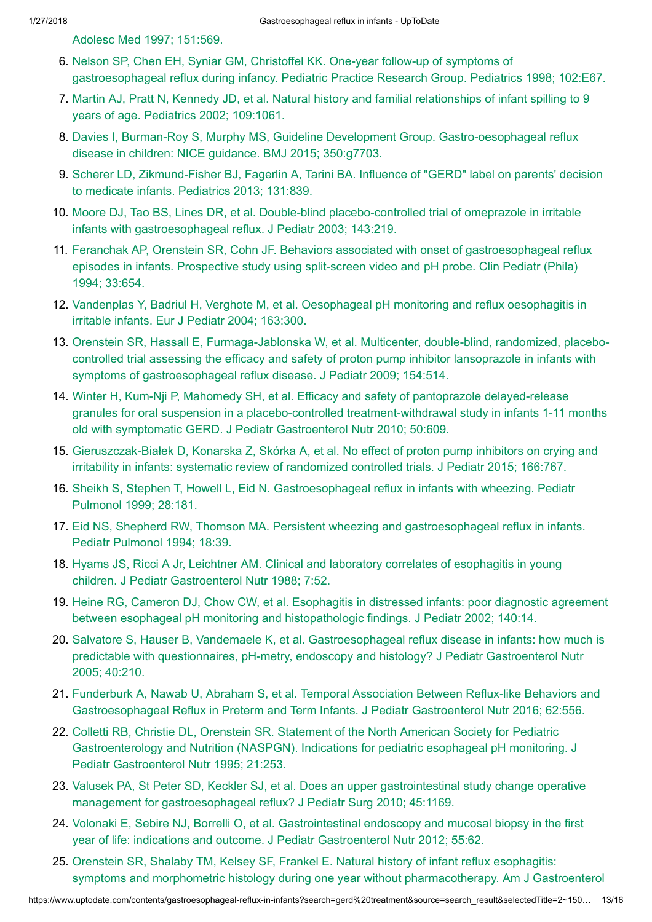Adolesc Med 1997; [151:569.](https://www.uptodate.com/contents/gastroesophageal-reflux-in-infants/abstract/5)

- 6. Nelson SP, Chen EH, Syniar GM, Christoffel KK. One-year follow-up of symptoms of [gastroesophageal reflux](https://www.uptodate.com/contents/gastroesophageal-reflux-in-infants/abstract/6) during infancy. Pediatric Practice Research Group. Pediatrics 1998; 102:E67.
- 7. Martin AJ, Pratt N, Kennedy JD, et al. Natural history and [familial relationships](https://www.uptodate.com/contents/gastroesophageal-reflux-in-infants/abstract/7) of infant spilling to 9 years of age. Pediatrics 2002; 109:1061.
- 8. Davies I, Burman-Roy S, Murphy MS, Guideline Development Group. [Gastro-oesophageal reflux](https://www.uptodate.com/contents/gastroesophageal-reflux-in-infants/abstract/8) disease in children: NICE guidance. BMJ 2015; 350:g7703.
- 9. Scherer LD, [Zikmund-Fisher](https://www.uptodate.com/contents/gastroesophageal-reflux-in-infants/abstract/9) BJ, Fagerlin A, Tarini BA. Influence of "GERD" label on parents' decision to medicate infants. Pediatrics 2013; 131:839.
- 10. Moore DJ, Tao BS, Lines DR, et al. Double-blind placebo-controlled trial of omeprazole in irritable infants with [gastroesophageal reflux.](https://www.uptodate.com/contents/gastroesophageal-reflux-in-infants/abstract/10) J Pediatr 2003; 143:219.
- 11. Feranchak AP, Orenstein SR, Cohn JF. Behaviors associated with onset of [gastroesophageal reflux](https://www.uptodate.com/contents/gastroesophageal-reflux-in-infants/abstract/11) episodes in infants. Prospective study using split-screen video and pH probe. Clin Pediatr (Phila) 1994; 33:654.
- 12. Vandenplas Y, Badriul H, Verghote M, et al. [Oesophageal pH](https://www.uptodate.com/contents/gastroesophageal-reflux-in-infants/abstract/12) monitoring and reflux oesophagitis in irritable infants. Eur J Pediatr 2004; 163:300.
- 13. Orenstein SR, Hassall E, Furmaga-Jablonska W, et al. Multicenter, double-blind, randomized, placebocontrolled trial assessing the efficacy and safety of proton pump inhibitor lansoprazole in infants with symptoms of [gastroesophageal reflux](https://www.uptodate.com/contents/gastroesophageal-reflux-in-infants/abstract/13) disease. J Pediatr 2009; 154:514.
- 14. Winter H, Kum-Nji P, Mahomedy SH, et al. Efficacy and safety of pantoprazole delayed-release granules for oral suspension in a placebo-controlled [treatment-withdrawal study](https://www.uptodate.com/contents/gastroesophageal-reflux-in-infants/abstract/14) in infants 1-11 months old with symptomatic GERD. J Pediatr Gastroenterol Nutr 2010; 50:609.
- 15. [Gieruszczak-Białek](https://www.uptodate.com/contents/gastroesophageal-reflux-in-infants/abstract/15) D, Konarska Z, Skórka A, et al. No effect of proton pump inhibitors on crying and irritability in infants: systematic review of randomized controlled trials. J Pediatr 2015; 166:767.
- 16. Sheikh S, Stephen T, Howell L, Eid N. [Gastroesophageal reflux](https://www.uptodate.com/contents/gastroesophageal-reflux-in-infants/abstract/16) in infants with wheezing. Pediatr Pulmonol 1999; 28:181.
- 17. Eid NS, Shepherd RW, Thomson MA. Persistent wheezing and [gastroesophageal reflux](https://www.uptodate.com/contents/gastroesophageal-reflux-in-infants/abstract/17) in infants. Pediatr Pulmonol 1994; 18:39.
- 18. Hyams JS, Ricci A Jr, Leichtner AM. Clinical and laboratory correlates of esophagitis in young children. J Pediatr [Gastroenterol Nutr](https://www.uptodate.com/contents/gastroesophageal-reflux-in-infants/abstract/18) 1988; 7:52.
- 19. Heine RG, Cameron DJ, Chow CW, et al. Esophagitis in distressed infants: poor diagnostic agreement between [esophageal pH](https://www.uptodate.com/contents/gastroesophageal-reflux-in-infants/abstract/19) monitoring and histopathologic findings. J Pediatr 2002; 140:14.
- 20. Salvatore S, Hauser B, Vandemaele K, et al. [Gastroesophageal reflux](https://www.uptodate.com/contents/gastroesophageal-reflux-in-infants/abstract/20) disease in infants: how much is predictable with questionnaires, pH-metry, endoscopy and histology? J Pediatr Gastroenterol Nutr 2005; 40:210.
- 21. Funderburk A, Nawab U, Abraham S, et al. Temporal Association Between Reflux-like Behaviors and [Gastroesophageal Reflux](https://www.uptodate.com/contents/gastroesophageal-reflux-in-infants/abstract/21) in Preterm and Term Infants. J Pediatr Gastroenterol Nutr 2016; 62:556.
- 22. Colletti RB, Christie DL, Orenstein SR. Statement of the North American Society for Pediatric Gastroenterology and Nutrition (NASPGN). Indications for pediatric esophageal pH monitoring. J Pediatr [Gastroenterol Nutr](https://www.uptodate.com/contents/gastroesophageal-reflux-in-infants/abstract/22) 1995; 21:253.
- 23. Valusek PA, St Peter SD, Keckler SJ, et al. Does an upper gastrointestinal study change operative management for [gastroesophageal reflux?](https://www.uptodate.com/contents/gastroesophageal-reflux-in-infants/abstract/23) J Pediatr Surg 2010; 45:1169.
- 24. Volonaki E, Sebire NJ, Borrelli O, et al. [Gastrointestinal endoscopy](https://www.uptodate.com/contents/gastroesophageal-reflux-in-infants/abstract/24) and mucosal biopsy in the first year of life: indications and outcome. J Pediatr Gastroenterol Nutr 2012; 55:62.
- 25. Orenstein SR, Shalaby TM, Kelsey SF, Frankel E. Natural history of infant reflux esophagitis: symptoms and morphometric histology during one year without [pharmacotherapy.](https://www.uptodate.com/contents/gastroesophageal-reflux-in-infants/abstract/25) Am J Gastroenterol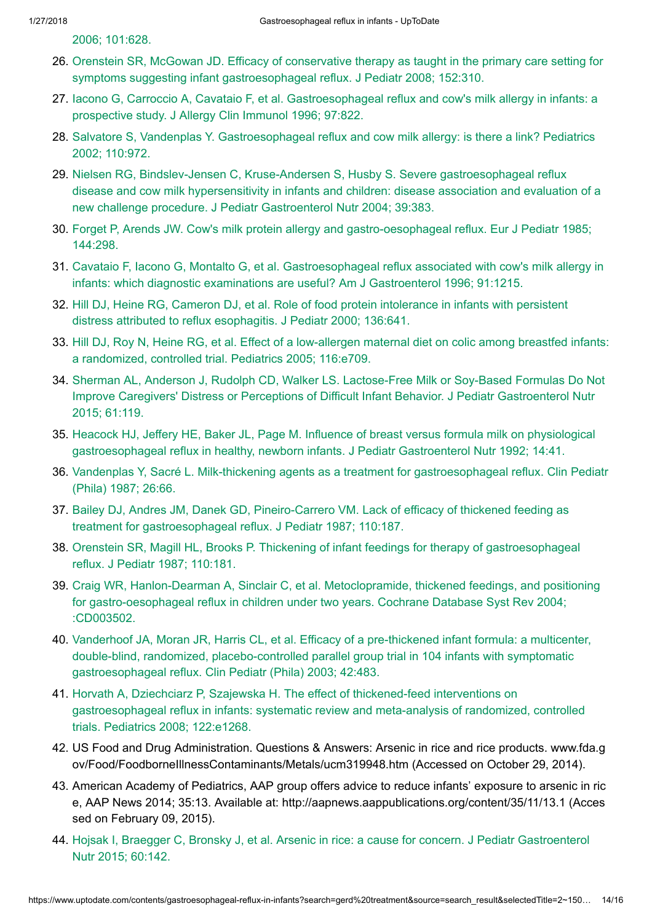2006; [101:628.](https://www.uptodate.com/contents/gastroesophageal-reflux-in-infants/abstract/25)

- 26. Orenstein SR, McGowan JD. Efficacy of conservative therapy as taught in the primary care setting for symptoms suggesting infant [gastroesophageal reflux.](https://www.uptodate.com/contents/gastroesophageal-reflux-in-infants/abstract/26) J Pediatr 2008; 152:310.
- 27. Iacono G, Carroccio A, Cavataio F, et al. [Gastroesophageal reflux](https://www.uptodate.com/contents/gastroesophageal-reflux-in-infants/abstract/27) and cow's milk allergy in infants: a prospective study. J Allergy Clin Immunol 1996; 97:822.
- 28. Salvatore S, Vandenplas Y. [Gastroesophageal reflux](https://www.uptodate.com/contents/gastroesophageal-reflux-in-infants/abstract/28) and cow milk allergy: is there a link? Pediatrics 2002; 110:972.
- 29. Nielsen RG, Bindslev-Jensen C, Kruse-Andersen S, Husby S. Severe [gastroesophageal reflux](https://www.uptodate.com/contents/gastroesophageal-reflux-in-infants/abstract/29) disease and cow milk hypersensitivity in infants and children: disease association and evaluation of a new challenge procedure. J Pediatr Gastroenterol Nutr 2004; 39:383.
- 30. Forget P, Arends JW. Cow's milk protein allergy and [gastro-oesophageal reflux.](https://www.uptodate.com/contents/gastroesophageal-reflux-in-infants/abstract/30) Eur J Pediatr 1985; 144:298.
- 31. Cavataio F, Iacono G, Montalto G, et al. [Gastroesophageal reflux](https://www.uptodate.com/contents/gastroesophageal-reflux-in-infants/abstract/31) associated with cow's milk allergy in infants: which diagnostic examinations are useful? Am J Gastroenterol 1996; 91:1215.
- 32. Hill DJ, Heine RG, Cameron DJ, et al. Role of food protein intolerance in infants with persistent distress attributed to reflux [esophagitis.](https://www.uptodate.com/contents/gastroesophageal-reflux-in-infants/abstract/32) J Pediatr 2000; 136:641.
- 33. Hill DJ, Roy N, Heine RG, et al. Effect of a low-allergen [maternal diet](https://www.uptodate.com/contents/gastroesophageal-reflux-in-infants/abstract/33) on colic among breastfed infants: a randomized, controlled trial. Pediatrics 2005; 116:e709.
- 34. Sherman AL, Anderson J, Rudolph CD, Walker LS. Lactose-Free Milk or Soy-Based Formulas Do Not Improve Caregivers' Distress or Perceptions of Difficult Infant Behavior. J Pediatr [Gastroenterol Nutr](https://www.uptodate.com/contents/gastroesophageal-reflux-in-infants/abstract/34) 2015; 61:119.
- 35. Heacock HJ, Jeffery HE, Baker JL, Page M. Influence of breast versus formula milk on physiological [gastroesophageal reflux](https://www.uptodate.com/contents/gastroesophageal-reflux-in-infants/abstract/35) in healthy, newborn infants. J Pediatr Gastroenterol Nutr 1992; 14:41.
- 36. Vandenplas Y, Sacré L. Milk-thickening agents as a treatment for [gastroesophageal reflux.](https://www.uptodate.com/contents/gastroesophageal-reflux-in-infants/abstract/36) Clin Pediatr (Phila) 1987; 26:66.
- 37. Bailey DJ, Andres JM, Danek GD, Pineiro-Carrero VM. Lack of efficacy of thickened feeding as treatment for [gastroesophageal reflux.](https://www.uptodate.com/contents/gastroesophageal-reflux-in-infants/abstract/37) J Pediatr 1987; 110:187.
- 38. Orenstein SR, Magill HL, Brooks P. Thickening of infant feedings for therapy of [gastroesophageal](https://www.uptodate.com/contents/gastroesophageal-reflux-in-infants/abstract/38) reflux. J Pediatr 1987; 110:181.
- 39. Craig WR, Hanlon-Dearman A, Sinclair C, et al. Metoclopramide, thickened feedings, and positioning for [gastro-oesophageal reflux](https://www.uptodate.com/contents/gastroesophageal-reflux-in-infants/abstract/39) in children under two years. Cochrane Database Syst Rev 2004; :CD003502.
- 40. Vanderhoof JA, Moran JR, Harris CL, et al. Efficacy of a pre-thickened infant formula: a multicenter, double-blind, randomized, placebo-controlled parallel group trial in 104 infants with symptomatic [gastroesophageal reflux.](https://www.uptodate.com/contents/gastroesophageal-reflux-in-infants/abstract/40) Clin Pediatr (Phila) 2003; 42:483.
- 41. Horvath A, Dziechciarz P, Szajewska H. The effect of thickened-feed interventions on [gastroesophageal reflux](https://www.uptodate.com/contents/gastroesophageal-reflux-in-infants/abstract/41) in infants: systematic review and meta-analysis of randomized, controlled trials. Pediatrics 2008; 122:e1268.
- 42. US Food and Drug Administration. Questions & Answers: Arsenic in rice and rice products. www.fda.g ov/Food/FoodborneIllnessContaminants/Metals/ucm319948.htm (Accessed on October 29, 2014).
- 43. American Academy of Pediatrics, AAP group offers advice to reduce infants' exposure to arsenic in ric e, AAP News 2014; 35:13. Available at: http://aapnews.aappublications.org/content/35/11/13.1 (Acces sed on February 09, 2015).
- 44. Hojsak I, Braegger C, Bronsky J, et al. Arsenic in rice: a cause for concern. J Pediatr [Gastroenterol](https://www.uptodate.com/contents/gastroesophageal-reflux-in-infants/abstract/44) Nutr 2015; 60:142.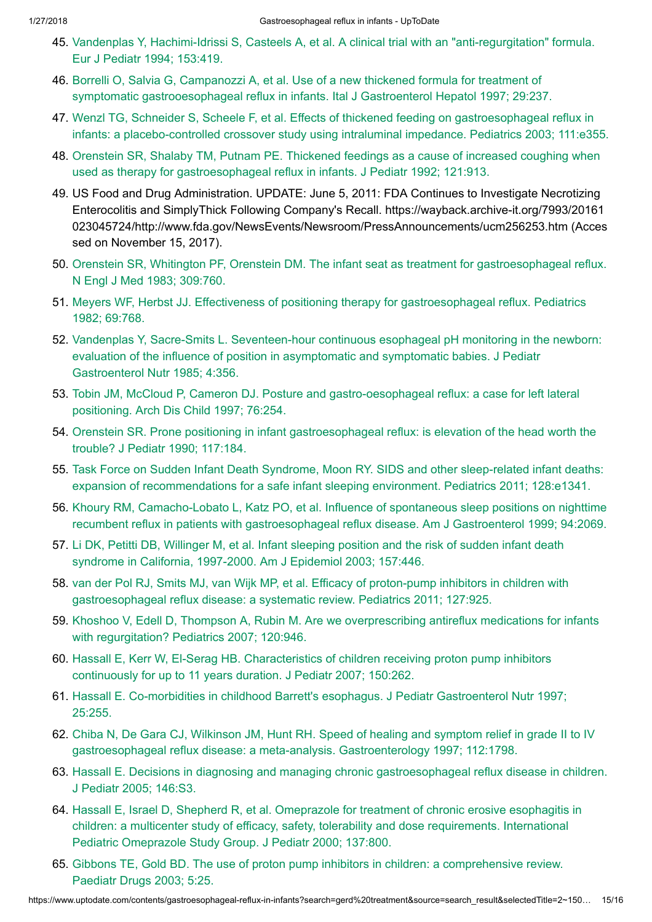- 45. Vandenplas Y, Hachimi-Idrissi S, Casteels A, et al. A clinical trial with an ["anti-regurgitation"](https://www.uptodate.com/contents/gastroesophageal-reflux-in-infants/abstract/45) formula. Eur J Pediatr 1994; 153:419.
- 46. Borrelli O, Salvia G, Campanozzi A, et al. Use of a new thickened formula for treatment of symptomatic gastrooesophageal reflux in infants. Ital J [Gastroenterol Hepatol 1997;](https://www.uptodate.com/contents/gastroesophageal-reflux-in-infants/abstract/46) 29:237.
- 47. Wenzl TG, Schneider S, Scheele F, et al. Effects of thickened feeding on [gastroesophageal reflux](https://www.uptodate.com/contents/gastroesophageal-reflux-in-infants/abstract/47) in infants: a placebo-controlled crossover study using intraluminal impedance. Pediatrics 2003; 111:e355.
- 48. Orenstein SR, Shalaby TM, Putnam PE. Thickened feedings as a cause of increased coughing when used as therapy for [gastroesophageal reflux](https://www.uptodate.com/contents/gastroesophageal-reflux-in-infants/abstract/48) in infants. J Pediatr 1992; 121:913.
- 49. US Food and Drug Administration. UPDATE: June 5, 2011: FDA Continues to Investigate Necrotizing Enterocolitis and SimplyThick Following Company's Recall. https://wayback.archive-it.org/7993/20161 023045724/http://www.fda.gov/NewsEvents/Newsroom/PressAnnouncements/ucm256253.htm (Acces sed on November 15, 2017).
- 50. Orenstein SR, Whitington PF, Orenstein DM. The infant seat as treatment for [gastroesophageal reflux.](https://www.uptodate.com/contents/gastroesophageal-reflux-in-infants/abstract/50) N Engl J Med 1983; 309:760.
- 51. Meyers WF, Herbst JJ. Effectiveness of positioning therapy for [gastroesophageal reflux.](https://www.uptodate.com/contents/gastroesophageal-reflux-in-infants/abstract/51) Pediatrics 1982; 69:768.
- 52. Vandenplas Y, Sacre-Smits L. Seventeen-hour continuous esophageal pH monitoring in the newborn: evaluation of the influence of position in asymptomatic and symptomatic babies. J Pediatr [Gastroenterol Nutr](https://www.uptodate.com/contents/gastroesophageal-reflux-in-infants/abstract/52) 1985; 4:356.
- 53. Tobin JM, McCloud P, Cameron DJ. Posture and [gastro-oesophageal reflux:](https://www.uptodate.com/contents/gastroesophageal-reflux-in-infants/abstract/53) a case for left lateral positioning. Arch Dis Child 1997; 76:254.
- 54. Orenstein SR. Prone positioning in infant [gastroesophageal reflux:](https://www.uptodate.com/contents/gastroesophageal-reflux-in-infants/abstract/54) is elevation of the head worth the trouble? J Pediatr 1990; 117:184.
- 55. Task Force on Sudden Infant Death Syndrome, Moon RY. SIDS and other sleep-related infant deaths: expansion of [recommendations](https://www.uptodate.com/contents/gastroesophageal-reflux-in-infants/abstract/55) for a safe infant sleeping environment. Pediatrics 2011; 128:e1341.
- 56. Khoury RM, Camacho-Lobato L, Katz PO, et al. Influence of spontaneous sleep positions on nighttime recumbent reflux in patients with [gastroesophageal reflux](https://www.uptodate.com/contents/gastroesophageal-reflux-in-infants/abstract/56) disease. Am J Gastroenterol 1999; 94:2069.
- 57. Li DK, Petitti DB, Willinger M, et al. Infant sleeping position and the risk of sudden infant death syndrome in California, 1997-2000. Am J [Epidemiol 2003;](https://www.uptodate.com/contents/gastroesophageal-reflux-in-infants/abstract/57) 157:446.
- 58. van der Pol RJ, Smits MJ, van Wijk MP, et al. Efficacy of proton-pump inhibitors in children with [gastroesophageal reflux](https://www.uptodate.com/contents/gastroesophageal-reflux-in-infants/abstract/58) disease: a systematic review. Pediatrics 2011; 127:925.
- 59. Khoshoo V, Edell D, Thompson A, Rubin M. Are we [overprescribing](https://www.uptodate.com/contents/gastroesophageal-reflux-in-infants/abstract/59) antireflux medications for infants with regurgitation? Pediatrics 2007; 120:946.
- 60. Hassall E, Kerr W, El-Serag HB. [Characteristics](https://www.uptodate.com/contents/gastroesophageal-reflux-in-infants/abstract/60) of children receiving proton pump inhibitors continuously for up to 11 years duration. J Pediatr 2007; 150:262.
- 61. Hassall E. Co-morbidities in childhood Barrett's esophagus. J Pediatr [Gastroenterol Nutr](https://www.uptodate.com/contents/gastroesophageal-reflux-in-infants/abstract/61) 1997; 25:255.
- 62. Chiba N, De Gara CJ, Wilkinson JM, Hunt RH. Speed of healing and symptom relief in grade II to IV [gastroesophageal reflux](https://www.uptodate.com/contents/gastroesophageal-reflux-in-infants/abstract/62) disease: a meta-analysis. Gastroenterology 1997; 112:1798.
- 63. Hassall E. Decisions in diagnosing and managing chronic [gastroesophageal reflux](https://www.uptodate.com/contents/gastroesophageal-reflux-in-infants/abstract/63) disease in children. J Pediatr 2005; 146:S3.
- 64. Hassall E, Israel D, Shepherd R, et al. Omeprazole for treatment of chronic erosive esophagitis in children: a multicenter study of efficacy, safety, tolerability and dose [requirements.](https://www.uptodate.com/contents/gastroesophageal-reflux-in-infants/abstract/64) International Pediatric Omeprazole Study Group. J Pediatr 2000; 137:800.
- 65. Gibbons TE, Gold BD. The use of proton pump inhibitors in children: a [comprehensive](https://www.uptodate.com/contents/gastroesophageal-reflux-in-infants/abstract/65) review. Paediatr Drugs 2003; 5:25.